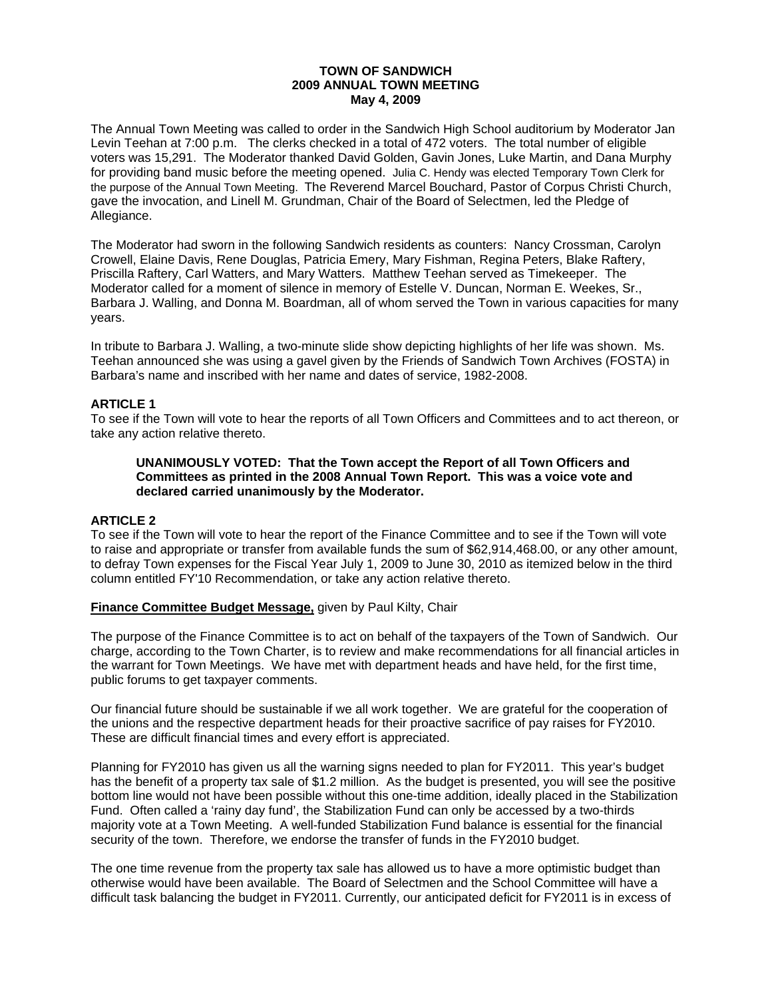#### **TOWN OF SANDWICH 2009 ANNUAL TOWN MEETING May 4, 2009**

The Annual Town Meeting was called to order in the Sandwich High School auditorium by Moderator Jan Levin Teehan at 7:00 p.m. The clerks checked in a total of 472 voters. The total number of eligible voters was 15,291. The Moderator thanked David Golden, Gavin Jones, Luke Martin, and Dana Murphy for providing band music before the meeting opened. Julia C. Hendy was elected Temporary Town Clerk for the purpose of the Annual Town Meeting. The Reverend Marcel Bouchard, Pastor of Corpus Christi Church, gave the invocation, and Linell M. Grundman, Chair of the Board of Selectmen, led the Pledge of Allegiance.

The Moderator had sworn in the following Sandwich residents as counters: Nancy Crossman, Carolyn Crowell, Elaine Davis, Rene Douglas, Patricia Emery, Mary Fishman, Regina Peters, Blake Raftery, Priscilla Raftery, Carl Watters, and Mary Watters. Matthew Teehan served as Timekeeper. The Moderator called for a moment of silence in memory of Estelle V. Duncan, Norman E. Weekes, Sr., Barbara J. Walling, and Donna M. Boardman, all of whom served the Town in various capacities for many years.

In tribute to Barbara J. Walling, a two-minute slide show depicting highlights of her life was shown. Ms. Teehan announced she was using a gavel given by the Friends of Sandwich Town Archives (FOSTA) in Barbara's name and inscribed with her name and dates of service, 1982-2008.

## **ARTICLE 1**

To see if the Town will vote to hear the reports of all Town Officers and Committees and to act thereon, or take any action relative thereto.

#### **UNANIMOUSLY VOTED: That the Town accept the Report of all Town Officers and Committees as printed in the 2008 Annual Town Report. This was a voice vote and declared carried unanimously by the Moderator.**

### **ARTICLE 2**

To see if the Town will vote to hear the report of the Finance Committee and to see if the Town will vote to raise and appropriate or transfer from available funds the sum of \$62,914,468.00, or any other amount, to defray Town expenses for the Fiscal Year July 1, 2009 to June 30, 2010 as itemized below in the third column entitled FY'10 Recommendation, or take any action relative thereto.

### **Finance Committee Budget Message,** given by Paul Kilty, Chair

The purpose of the Finance Committee is to act on behalf of the taxpayers of the Town of Sandwich. Our charge, according to the Town Charter, is to review and make recommendations for all financial articles in the warrant for Town Meetings. We have met with department heads and have held, for the first time, public forums to get taxpayer comments.

Our financial future should be sustainable if we all work together. We are grateful for the cooperation of the unions and the respective department heads for their proactive sacrifice of pay raises for FY2010. These are difficult financial times and every effort is appreciated.

Planning for FY2010 has given us all the warning signs needed to plan for FY2011. This year's budget has the benefit of a property tax sale of \$1.2 million. As the budget is presented, you will see the positive bottom line would not have been possible without this one-time addition, ideally placed in the Stabilization Fund. Often called a 'rainy day fund', the Stabilization Fund can only be accessed by a two-thirds majority vote at a Town Meeting. A well-funded Stabilization Fund balance is essential for the financial security of the town. Therefore, we endorse the transfer of funds in the FY2010 budget.

The one time revenue from the property tax sale has allowed us to have a more optimistic budget than otherwise would have been available. The Board of Selectmen and the School Committee will have a difficult task balancing the budget in FY2011. Currently, our anticipated deficit for FY2011 is in excess of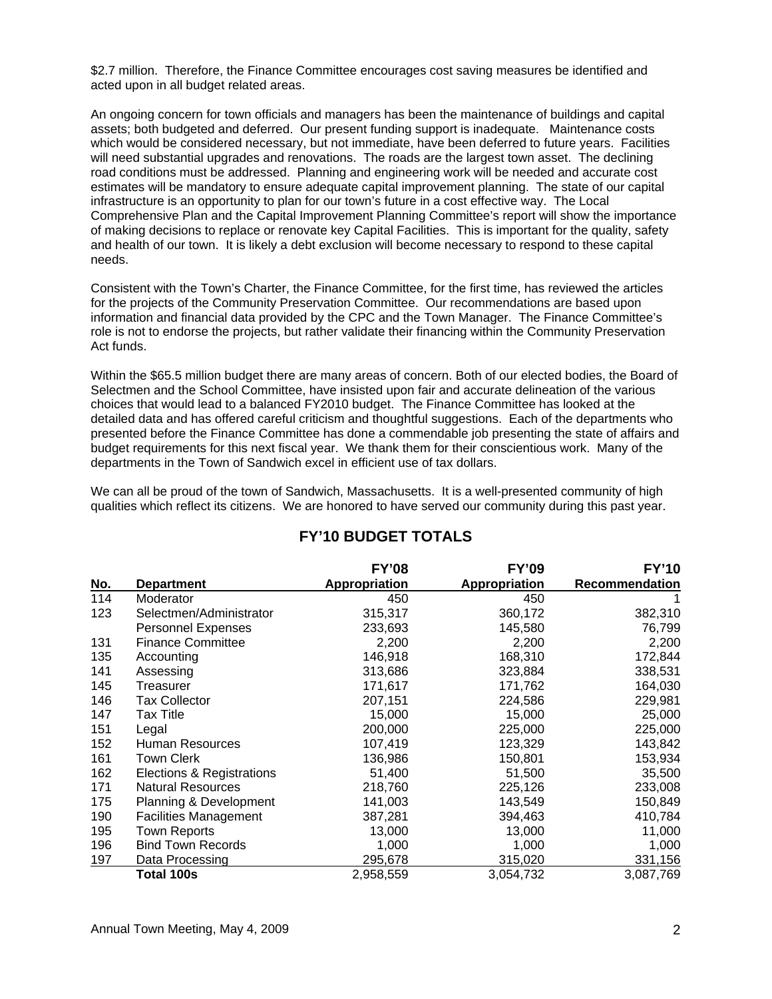\$2.7 million. Therefore, the Finance Committee encourages cost saving measures be identified and acted upon in all budget related areas.

An ongoing concern for town officials and managers has been the maintenance of buildings and capital assets; both budgeted and deferred. Our present funding support is inadequate. Maintenance costs which would be considered necessary, but not immediate, have been deferred to future years. Facilities will need substantial upgrades and renovations. The roads are the largest town asset. The declining road conditions must be addressed. Planning and engineering work will be needed and accurate cost estimates will be mandatory to ensure adequate capital improvement planning. The state of our capital infrastructure is an opportunity to plan for our town's future in a cost effective way. The Local Comprehensive Plan and the Capital Improvement Planning Committee's report will show the importance of making decisions to replace or renovate key Capital Facilities. This is important for the quality, safety and health of our town. It is likely a debt exclusion will become necessary to respond to these capital needs.

Consistent with the Town's Charter, the Finance Committee, for the first time, has reviewed the articles for the projects of the Community Preservation Committee. Our recommendations are based upon information and financial data provided by the CPC and the Town Manager. The Finance Committee's role is not to endorse the projects, but rather validate their financing within the Community Preservation Act funds.

Within the \$65.5 million budget there are many areas of concern. Both of our elected bodies, the Board of Selectmen and the School Committee, have insisted upon fair and accurate delineation of the various choices that would lead to a balanced FY2010 budget. The Finance Committee has looked at the detailed data and has offered careful criticism and thoughtful suggestions. Each of the departments who presented before the Finance Committee has done a commendable job presenting the state of affairs and budget requirements for this next fiscal year. We thank them for their conscientious work. Many of the departments in the Town of Sandwich excel in efficient use of tax dollars.

We can all be proud of the town of Sandwich, Massachusetts. It is a well-presented community of high qualities which reflect its citizens. We are honored to have served our community during this past year.

|            |                              | <b>FY'08</b>         | <b>FY'09</b>         | <b>FY'10</b>          |
|------------|------------------------------|----------------------|----------------------|-----------------------|
| <u>No.</u> | Department                   | <b>Appropriation</b> | <b>Appropriation</b> | <b>Recommendation</b> |
| 114        | Moderator                    | 450                  | 450                  |                       |
| 123        | Selectmen/Administrator      | 315,317              | 360,172              | 382,310               |
|            | <b>Personnel Expenses</b>    | 233,693              | 145,580              | 76,799                |
| 131        | <b>Finance Committee</b>     | 2,200                | 2,200                | 2,200                 |
| 135        | Accounting                   | 146,918              | 168,310              | 172,844               |
| 141        | Assessing                    | 313,686              | 323,884              | 338,531               |
| 145        | Treasurer                    | 171,617              | 171,762              | 164,030               |
| 146        | <b>Tax Collector</b>         | 207,151              | 224,586              | 229,981               |
| 147        | Tax Title                    | 15,000               | 15,000               | 25,000                |
| 151        | Legal                        | 200,000              | 225,000              | 225,000               |
| 152        | Human Resources              | 107,419              | 123,329              | 143,842               |
| 161        | <b>Town Clerk</b>            | 136,986              | 150,801              | 153,934               |
| 162        | Elections & Registrations    | 51,400               | 51,500               | 35,500                |
| 171        | <b>Natural Resources</b>     | 218,760              | 225,126              | 233,008               |
| 175        | Planning & Development       | 141,003              | 143,549              | 150,849               |
| 190        | <b>Facilities Management</b> | 387,281              | 394,463              | 410,784               |
| 195        | <b>Town Reports</b>          | 13,000               | 13,000               | 11,000                |
| 196        | <b>Bind Town Records</b>     | 1,000                | 1,000                | 1,000                 |
| 197        | Data Processing              | 295,678              | 315,020              | 331,156               |
|            | <b>Total 100s</b>            | 2,958,559            | 3,054,732            | 3,087,769             |

# **FY'10 BUDGET TOTALS**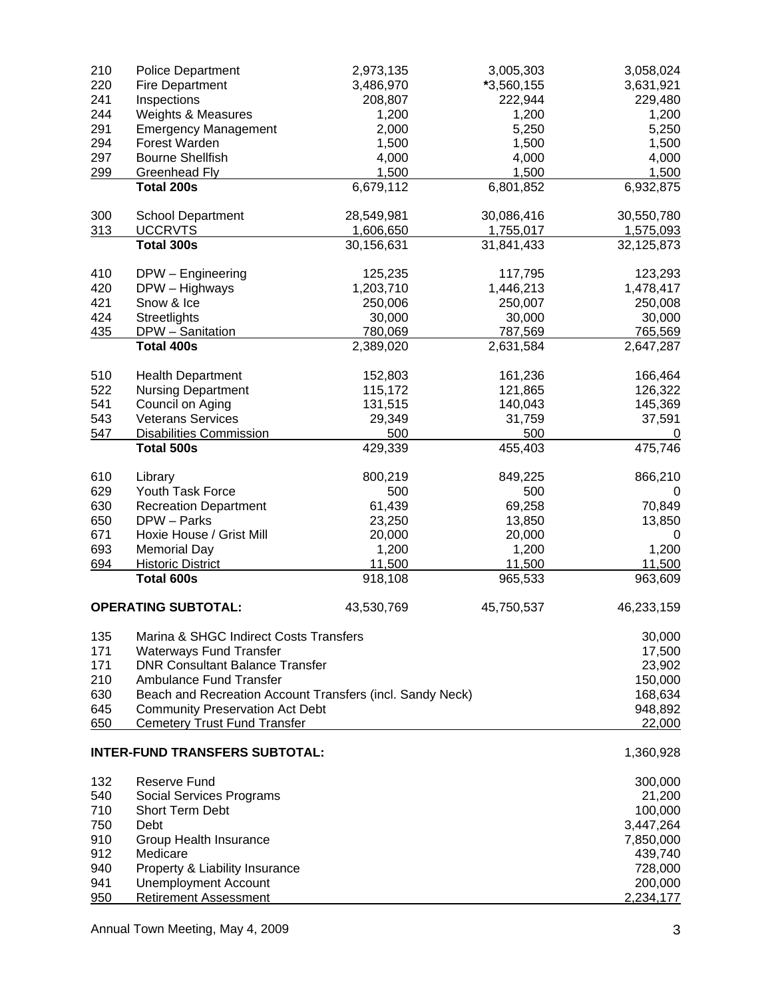| 210        | <b>Police Department</b>                                                      | 2,973,135  | 3,005,303  | 3,058,024         |
|------------|-------------------------------------------------------------------------------|------------|------------|-------------------|
| 220        | <b>Fire Department</b>                                                        | 3,486,970  | *3,560,155 | 3,631,921         |
| 241        | Inspections                                                                   | 208,807    | 222,944    | 229,480           |
| 244        | Weights & Measures                                                            | 1,200      | 1,200      | 1,200             |
| 291        | <b>Emergency Management</b>                                                   | 2,000      | 5,250      | 5,250             |
| 294        | Forest Warden                                                                 | 1,500      | 1,500      | 1,500             |
| 297        | <b>Bourne Shellfish</b>                                                       | 4,000      | 4,000      | 4,000             |
| 299        | <b>Greenhead Fly</b>                                                          | 1,500      | 1,500      | 1,500             |
|            | Total 200s                                                                    | 6,679,112  | 6,801,852  | 6,932,875         |
|            |                                                                               |            |            |                   |
| 300        | <b>School Department</b>                                                      | 28,549,981 | 30,086,416 | 30,550,780        |
| 313        | <b>UCCRVTS</b>                                                                | 1,606,650  | 1,755,017  | 1,575,093         |
|            | Total 300s                                                                    | 30,156,631 | 31,841,433 | 32,125,873        |
|            |                                                                               |            |            |                   |
| 410        | DPW - Engineering                                                             | 125,235    | 117,795    | 123,293           |
| 420        | DPW - Highways                                                                | 1,203,710  | 1,446,213  | 1,478,417         |
| 421        | Snow & Ice                                                                    | 250,006    | 250,007    | 250,008           |
| 424        | Streetlights                                                                  | 30,000     | 30,000     | 30,000            |
| 435        | DPW - Sanitation                                                              | 780,069    | 787,569    | 765,569           |
|            | Total 400s                                                                    | 2,389,020  | 2,631,584  | 2,647,287         |
| 510        | <b>Health Department</b>                                                      | 152,803    | 161,236    | 166,464           |
| 522        | <b>Nursing Department</b>                                                     | 115,172    | 121,865    | 126,322           |
| 541        | Council on Aging                                                              | 131,515    | 140,043    | 145,369           |
| 543        | <b>Veterans Services</b>                                                      | 29,349     | 31,759     | 37,591            |
| 547        | <b>Disabilities Commission</b>                                                | 500        | 500        | $\mathbf 0$       |
|            | <b>Total 500s</b>                                                             | 429,339    | 455,403    | 475,746           |
|            |                                                                               |            |            |                   |
| 610        | Library                                                                       | 800,219    | 849,225    | 866,210           |
| 629        | Youth Task Force                                                              | 500        | 500        | 0                 |
| 630        | <b>Recreation Department</b>                                                  | 61,439     | 69,258     | 70,849            |
| 650        | DPW - Parks                                                                   | 23,250     | 13,850     | 13,850            |
| 671        | Hoxie House / Grist Mill                                                      | 20,000     | 20,000     | 0                 |
| 693        | <b>Memorial Day</b>                                                           | 1,200      | 1,200      | 1,200             |
| 694        | <b>Historic District</b>                                                      | 11,500     | 11,500     | 11,500            |
|            | Total 600s                                                                    | 918,108    | 965,533    | 963,609           |
|            | <b>OPERATING SUBTOTAL:</b>                                                    | 43,530,769 | 45,750,537 | 46,233,159        |
| 135        | Marina & SHGC Indirect Costs Transfers                                        |            |            |                   |
| 171        |                                                                               |            |            | 30,000            |
| 171        | <b>Waterways Fund Transfer</b><br><b>DNR Consultant Balance Transfer</b>      |            |            | 17,500            |
| 210        | <b>Ambulance Fund Transfer</b>                                                |            |            | 23,902<br>150,000 |
|            |                                                                               |            |            |                   |
| 630        | Beach and Recreation Account Transfers (incl. Sandy Neck)                     |            |            | 168,634           |
| 645<br>650 | <b>Community Preservation Act Debt</b><br><b>Cemetery Trust Fund Transfer</b> |            |            | 948,892<br>22,000 |
|            |                                                                               |            |            |                   |
|            | <b>INTER-FUND TRANSFERS SUBTOTAL:</b>                                         |            |            | 1,360,928         |
| 132        | <b>Reserve Fund</b>                                                           |            |            | 300,000           |
| 540        | Social Services Programs                                                      |            |            | 21,200            |
| 710        | Short Term Debt                                                               |            |            | 100,000           |
| 750        | Debt                                                                          |            |            | 3,447,264         |
| 910        | Group Health Insurance                                                        |            |            | 7,850,000         |
| 912        | Medicare                                                                      |            |            | 439,740           |
| 940        | Property & Liability Insurance                                                |            |            | 728,000           |
| 941        | <b>Unemployment Account</b>                                                   |            |            | 200,000           |
| 950        | <b>Retirement Assessment</b>                                                  |            |            | 2,234,177         |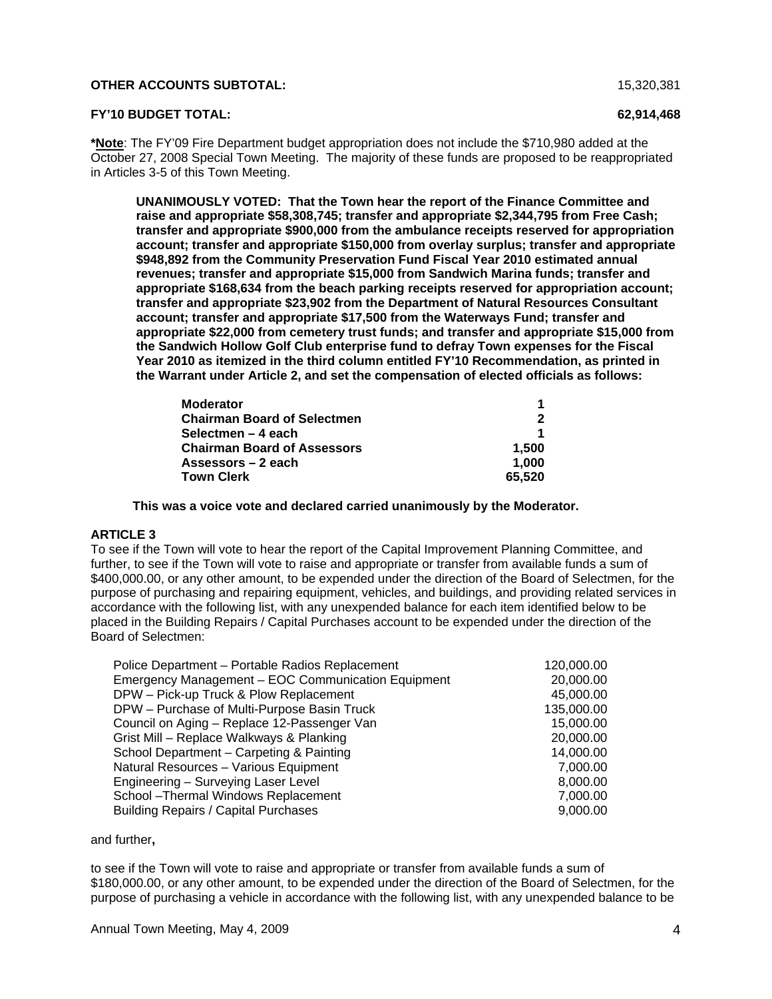#### **OTHER ACCOUNTS SUBTOTAL:** 15,320,381

#### **FY'10 BUDGET TOTAL: 62,914,468**

**\*Note**: The FY'09 Fire Department budget appropriation does not include the \$710,980 added at the October 27, 2008 Special Town Meeting. The majority of these funds are proposed to be reappropriated in Articles 3-5 of this Town Meeting.

**UNANIMOUSLY VOTED: That the Town hear the report of the Finance Committee and raise and appropriate \$58,308,745; transfer and appropriate \$2,344,795 from Free Cash; transfer and appropriate \$900,000 from the ambulance receipts reserved for appropriation account; transfer and appropriate \$150,000 from overlay surplus; transfer and appropriate \$948,892 from the Community Preservation Fund Fiscal Year 2010 estimated annual revenues; transfer and appropriate \$15,000 from Sandwich Marina funds; transfer and appropriate \$168,634 from the beach parking receipts reserved for appropriation account; transfer and appropriate \$23,902 from the Department of Natural Resources Consultant account; transfer and appropriate \$17,500 from the Waterways Fund; transfer and appropriate \$22,000 from cemetery trust funds; and transfer and appropriate \$15,000 from the Sandwich Hollow Golf Club enterprise fund to defray Town expenses for the Fiscal Year 2010 as itemized in the third column entitled FY'10 Recommendation, as printed in the Warrant under Article 2, and set the compensation of elected officials as follows:** 

| <b>Moderator</b>                   |        |
|------------------------------------|--------|
| <b>Chairman Board of Selectmen</b> |        |
| Selectmen – 4 each                 |        |
| <b>Chairman Board of Assessors</b> | 1.500  |
| Assessors – 2 each                 | 1.000  |
| <b>Town Clerk</b>                  | 65.520 |

 **This was a voice vote and declared carried unanimously by the Moderator.** 

## **ARTICLE 3**

To see if the Town will vote to hear the report of the Capital Improvement Planning Committee, and further, to see if the Town will vote to raise and appropriate or transfer from available funds a sum of \$400,000.00, or any other amount, to be expended under the direction of the Board of Selectmen, for the purpose of purchasing and repairing equipment, vehicles, and buildings, and providing related services in accordance with the following list, with any unexpended balance for each item identified below to be placed in the Building Repairs / Capital Purchases account to be expended under the direction of the Board of Selectmen:

| Police Department - Portable Radios Replacement    | 120,000.00 |
|----------------------------------------------------|------------|
| Emergency Management - EOC Communication Equipment | 20,000.00  |
| DPW - Pick-up Truck & Plow Replacement             | 45,000.00  |
| DPW - Purchase of Multi-Purpose Basin Truck        | 135,000.00 |
| Council on Aging - Replace 12-Passenger Van        | 15,000.00  |
| Grist Mill - Replace Walkways & Planking           | 20,000.00  |
| School Department - Carpeting & Painting           | 14,000.00  |
| Natural Resources - Various Equipment              | 7,000.00   |
| Engineering - Surveying Laser Level                | 8,000.00   |
| School - Thermal Windows Replacement               | 7,000.00   |
| <b>Building Repairs / Capital Purchases</b>        | 9,000.00   |

and further**,** 

to see if the Town will vote to raise and appropriate or transfer from available funds a sum of \$180,000.00, or any other amount, to be expended under the direction of the Board of Selectmen, for the purpose of purchasing a vehicle in accordance with the following list, with any unexpended balance to be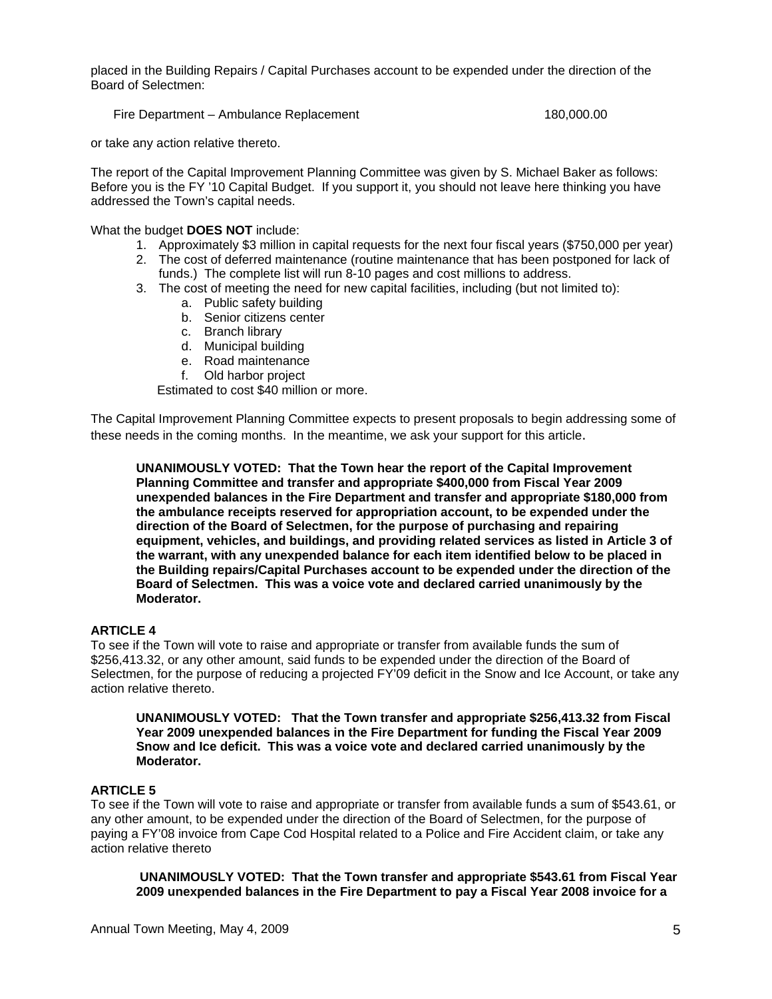placed in the Building Repairs / Capital Purchases account to be expended under the direction of the Board of Selectmen:

Fire Department – Ambulance Replacement 180,000.00

or take any action relative thereto.

The report of the Capital Improvement Planning Committee was given by S. Michael Baker as follows: Before you is the FY '10 Capital Budget. If you support it, you should not leave here thinking you have addressed the Town's capital needs.

What the budget **DOES NOT** include:

- 1. Approximately \$3 million in capital requests for the next four fiscal years (\$750,000 per year)
- 2. The cost of deferred maintenance (routine maintenance that has been postponed for lack of funds.) The complete list will run 8-10 pages and cost millions to address.
- 3. The cost of meeting the need for new capital facilities, including (but not limited to):
	- a. Public safety building
	- b. Senior citizens center
	- c. Branch library
	- d. Municipal building
	- e. Road maintenance
	- f. Old harbor project

Estimated to cost \$40 million or more.

The Capital Improvement Planning Committee expects to present proposals to begin addressing some of these needs in the coming months. In the meantime, we ask your support for this article.

**UNANIMOUSLY VOTED: That the Town hear the report of the Capital Improvement Planning Committee and transfer and appropriate \$400,000 from Fiscal Year 2009 unexpended balances in the Fire Department and transfer and appropriate \$180,000 from the ambulance receipts reserved for appropriation account, to be expended under the direction of the Board of Selectmen, for the purpose of purchasing and repairing equipment, vehicles, and buildings, and providing related services as listed in Article 3 of the warrant, with any unexpended balance for each item identified below to be placed in the Building repairs/Capital Purchases account to be expended under the direction of the Board of Selectmen. This was a voice vote and declared carried unanimously by the Moderator.** 

### **ARTICLE 4**

To see if the Town will vote to raise and appropriate or transfer from available funds the sum of \$256,413.32, or any other amount, said funds to be expended under the direction of the Board of Selectmen, for the purpose of reducing a projected FY'09 deficit in the Snow and Ice Account, or take any action relative thereto.

**UNANIMOUSLY VOTED: That the Town transfer and appropriate \$256,413.32 from Fiscal Year 2009 unexpended balances in the Fire Department for funding the Fiscal Year 2009 Snow and Ice deficit. This was a voice vote and declared carried unanimously by the Moderator.** 

## **ARTICLE 5**

To see if the Town will vote to raise and appropriate or transfer from available funds a sum of \$543.61, or any other amount, to be expended under the direction of the Board of Selectmen, for the purpose of paying a FY'08 invoice from Cape Cod Hospital related to a Police and Fire Accident claim, or take any action relative thereto

**UNANIMOUSLY VOTED: That the Town transfer and appropriate \$543.61 from Fiscal Year 2009 unexpended balances in the Fire Department to pay a Fiscal Year 2008 invoice for a**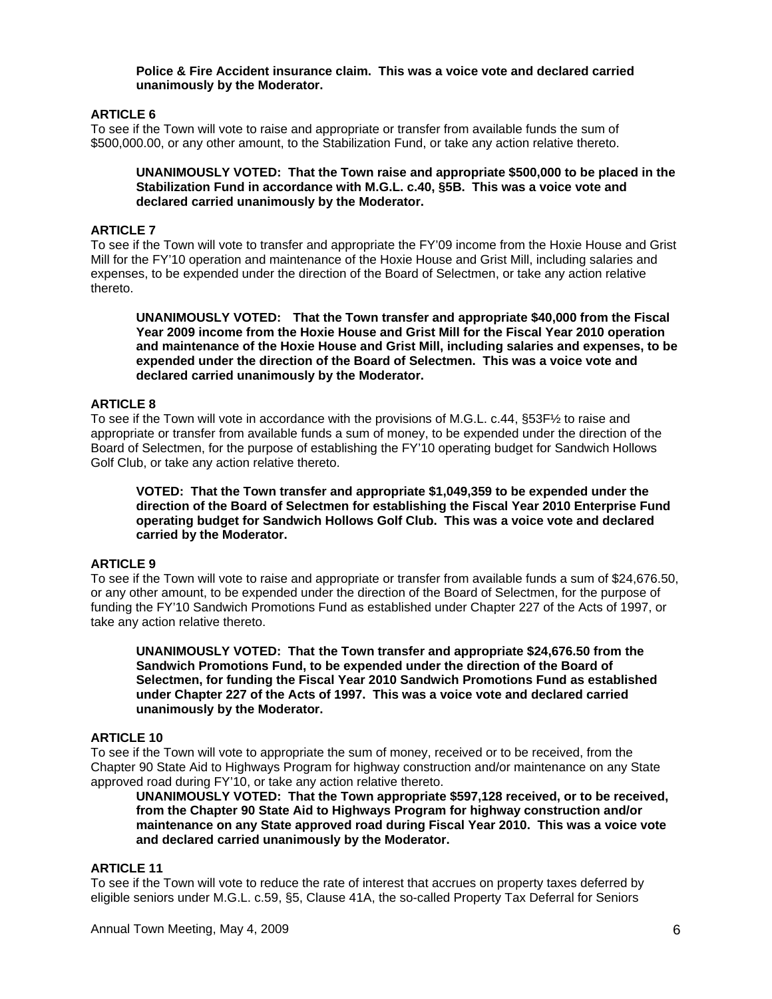#### **Police & Fire Accident insurance claim. This was a voice vote and declared carried unanimously by the Moderator.**

## **ARTICLE 6**

To see if the Town will vote to raise and appropriate or transfer from available funds the sum of \$500,000.00, or any other amount, to the Stabilization Fund, or take any action relative thereto.

#### **UNANIMOUSLY VOTED: That the Town raise and appropriate \$500,000 to be placed in the Stabilization Fund in accordance with M.G.L. c.40, §5B. This was a voice vote and declared carried unanimously by the Moderator.**

## **ARTICLE 7**

To see if the Town will vote to transfer and appropriate the FY'09 income from the Hoxie House and Grist Mill for the FY'10 operation and maintenance of the Hoxie House and Grist Mill, including salaries and expenses, to be expended under the direction of the Board of Selectmen, or take any action relative thereto.

**UNANIMOUSLY VOTED: That the Town transfer and appropriate \$40,000 from the Fiscal Year 2009 income from the Hoxie House and Grist Mill for the Fiscal Year 2010 operation and maintenance of the Hoxie House and Grist Mill, including salaries and expenses, to be expended under the direction of the Board of Selectmen. This was a voice vote and declared carried unanimously by the Moderator.** 

### **ARTICLE 8**

To see if the Town will vote in accordance with the provisions of M.G.L. c.44, §53F½ to raise and appropriate or transfer from available funds a sum of money, to be expended under the direction of the Board of Selectmen, for the purpose of establishing the FY'10 operating budget for Sandwich Hollows Golf Club, or take any action relative thereto.

**VOTED: That the Town transfer and appropriate \$1,049,359 to be expended under the direction of the Board of Selectmen for establishing the Fiscal Year 2010 Enterprise Fund operating budget for Sandwich Hollows Golf Club. This was a voice vote and declared carried by the Moderator.** 

### **ARTICLE 9**

To see if the Town will vote to raise and appropriate or transfer from available funds a sum of \$24,676.50, or any other amount, to be expended under the direction of the Board of Selectmen, for the purpose of funding the FY'10 Sandwich Promotions Fund as established under Chapter 227 of the Acts of 1997, or take any action relative thereto.

**UNANIMOUSLY VOTED: That the Town transfer and appropriate \$24,676.50 from the Sandwich Promotions Fund, to be expended under the direction of the Board of Selectmen, for funding the Fiscal Year 2010 Sandwich Promotions Fund as established under Chapter 227 of the Acts of 1997. This was a voice vote and declared carried unanimously by the Moderator.** 

## **ARTICLE 10**

To see if the Town will vote to appropriate the sum of money, received or to be received, from the Chapter 90 State Aid to Highways Program for highway construction and/or maintenance on any State approved road during FY'10, or take any action relative thereto.

**UNANIMOUSLY VOTED: That the Town appropriate \$597,128 received, or to be received, from the Chapter 90 State Aid to Highways Program for highway construction and/or maintenance on any State approved road during Fiscal Year 2010. This was a voice vote and declared carried unanimously by the Moderator.** 

### **ARTICLE 11**

To see if the Town will vote to reduce the rate of interest that accrues on property taxes deferred by eligible seniors under M.G.L. c.59, §5, Clause 41A, the so-called Property Tax Deferral for Seniors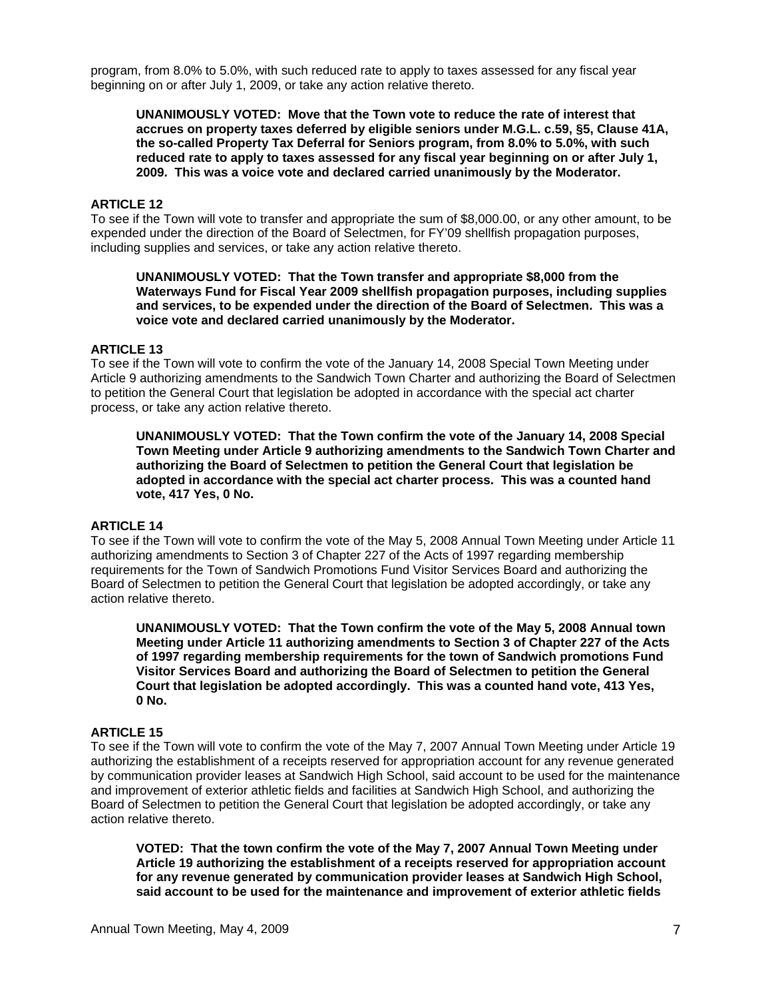program, from 8.0% to 5.0%, with such reduced rate to apply to taxes assessed for any fiscal year beginning on or after July 1, 2009, or take any action relative thereto.

**UNANIMOUSLY VOTED: Move that the Town vote to reduce the rate of interest that accrues on property taxes deferred by eligible seniors under M.G.L. c.59, §5, Clause 41A, the so-called Property Tax Deferral for Seniors program, from 8.0% to 5.0%, with such reduced rate to apply to taxes assessed for any fiscal year beginning on or after July 1, 2009. This was a voice vote and declared carried unanimously by the Moderator.** 

## **ARTICLE 12**

To see if the Town will vote to transfer and appropriate the sum of \$8,000.00, or any other amount, to be expended under the direction of the Board of Selectmen, for FY'09 shellfish propagation purposes, including supplies and services, or take any action relative thereto.

**UNANIMOUSLY VOTED: That the Town transfer and appropriate \$8,000 from the Waterways Fund for Fiscal Year 2009 shellfish propagation purposes, including supplies and services, to be expended under the direction of the Board of Selectmen. This was a voice vote and declared carried unanimously by the Moderator.** 

#### **ARTICLE 13**

To see if the Town will vote to confirm the vote of the January 14, 2008 Special Town Meeting under Article 9 authorizing amendments to the Sandwich Town Charter and authorizing the Board of Selectmen to petition the General Court that legislation be adopted in accordance with the special act charter process, or take any action relative thereto.

**UNANIMOUSLY VOTED: That the Town confirm the vote of the January 14, 2008 Special Town Meeting under Article 9 authorizing amendments to the Sandwich Town Charter and authorizing the Board of Selectmen to petition the General Court that legislation be adopted in accordance with the special act charter process. This was a counted hand vote, 417 Yes, 0 No.** 

### **ARTICLE 14**

To see if the Town will vote to confirm the vote of the May 5, 2008 Annual Town Meeting under Article 11 authorizing amendments to Section 3 of Chapter 227 of the Acts of 1997 regarding membership requirements for the Town of Sandwich Promotions Fund Visitor Services Board and authorizing the Board of Selectmen to petition the General Court that legislation be adopted accordingly, or take any action relative thereto.

**UNANIMOUSLY VOTED: That the Town confirm the vote of the May 5, 2008 Annual town Meeting under Article 11 authorizing amendments to Section 3 of Chapter 227 of the Acts of 1997 regarding membership requirements for the town of Sandwich promotions Fund Visitor Services Board and authorizing the Board of Selectmen to petition the General Court that legislation be adopted accordingly. This was a counted hand vote, 413 Yes, 0 No.** 

#### **ARTICLE 15**

To see if the Town will vote to confirm the vote of the May 7, 2007 Annual Town Meeting under Article 19 authorizing the establishment of a receipts reserved for appropriation account for any revenue generated by communication provider leases at Sandwich High School, said account to be used for the maintenance and improvement of exterior athletic fields and facilities at Sandwich High School, and authorizing the Board of Selectmen to petition the General Court that legislation be adopted accordingly, or take any action relative thereto.

**VOTED: That the town confirm the vote of the May 7, 2007 Annual Town Meeting under Article 19 authorizing the establishment of a receipts reserved for appropriation account for any revenue generated by communication provider leases at Sandwich High School, said account to be used for the maintenance and improvement of exterior athletic fields**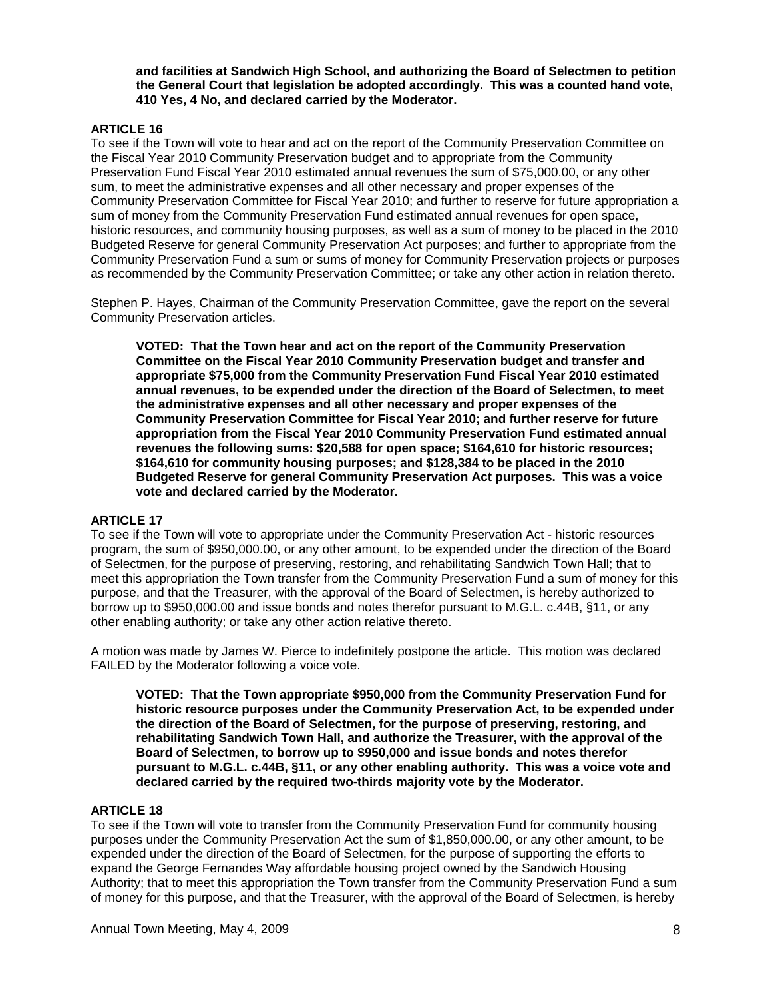**and facilities at Sandwich High School, and authorizing the Board of Selectmen to petition the General Court that legislation be adopted accordingly. This was a counted hand vote, 410 Yes, 4 No, and declared carried by the Moderator.** 

### **ARTICLE 16**

To see if the Town will vote to hear and act on the report of the Community Preservation Committee on the Fiscal Year 2010 Community Preservation budget and to appropriate from the Community Preservation Fund Fiscal Year 2010 estimated annual revenues the sum of \$75,000.00, or any other sum, to meet the administrative expenses and all other necessary and proper expenses of the Community Preservation Committee for Fiscal Year 2010; and further to reserve for future appropriation a sum of money from the Community Preservation Fund estimated annual revenues for open space, historic resources, and community housing purposes, as well as a sum of money to be placed in the 2010 Budgeted Reserve for general Community Preservation Act purposes; and further to appropriate from the Community Preservation Fund a sum or sums of money for Community Preservation projects or purposes as recommended by the Community Preservation Committee; or take any other action in relation thereto.

Stephen P. Hayes, Chairman of the Community Preservation Committee, gave the report on the several Community Preservation articles.

**VOTED: That the Town hear and act on the report of the Community Preservation Committee on the Fiscal Year 2010 Community Preservation budget and transfer and appropriate \$75,000 from the Community Preservation Fund Fiscal Year 2010 estimated annual revenues, to be expended under the direction of the Board of Selectmen, to meet the administrative expenses and all other necessary and proper expenses of the Community Preservation Committee for Fiscal Year 2010; and further reserve for future appropriation from the Fiscal Year 2010 Community Preservation Fund estimated annual revenues the following sums: \$20,588 for open space; \$164,610 for historic resources; \$164,610 for community housing purposes; and \$128,384 to be placed in the 2010 Budgeted Reserve for general Community Preservation Act purposes. This was a voice vote and declared carried by the Moderator.** 

### **ARTICLE 17**

To see if the Town will vote to appropriate under the Community Preservation Act - historic resources program, the sum of \$950,000.00, or any other amount, to be expended under the direction of the Board of Selectmen, for the purpose of preserving, restoring, and rehabilitating Sandwich Town Hall; that to meet this appropriation the Town transfer from the Community Preservation Fund a sum of money for this purpose, and that the Treasurer, with the approval of the Board of Selectmen, is hereby authorized to borrow up to \$950,000.00 and issue bonds and notes therefor pursuant to M.G.L. c.44B, §11, or any other enabling authority; or take any other action relative thereto.

A motion was made by James W. Pierce to indefinitely postpone the article. This motion was declared FAILED by the Moderator following a voice vote.

**VOTED: That the Town appropriate \$950,000 from the Community Preservation Fund for historic resource purposes under the Community Preservation Act, to be expended under the direction of the Board of Selectmen, for the purpose of preserving, restoring, and rehabilitating Sandwich Town Hall, and authorize the Treasurer, with the approval of the Board of Selectmen, to borrow up to \$950,000 and issue bonds and notes therefor pursuant to M.G.L. c.44B, §11, or any other enabling authority. This was a voice vote and declared carried by the required two-thirds majority vote by the Moderator.** 

## **ARTICLE 18**

To see if the Town will vote to transfer from the Community Preservation Fund for community housing purposes under the Community Preservation Act the sum of \$1,850,000.00, or any other amount, to be expended under the direction of the Board of Selectmen, for the purpose of supporting the efforts to expand the George Fernandes Way affordable housing project owned by the Sandwich Housing Authority; that to meet this appropriation the Town transfer from the Community Preservation Fund a sum of money for this purpose, and that the Treasurer, with the approval of the Board of Selectmen, is hereby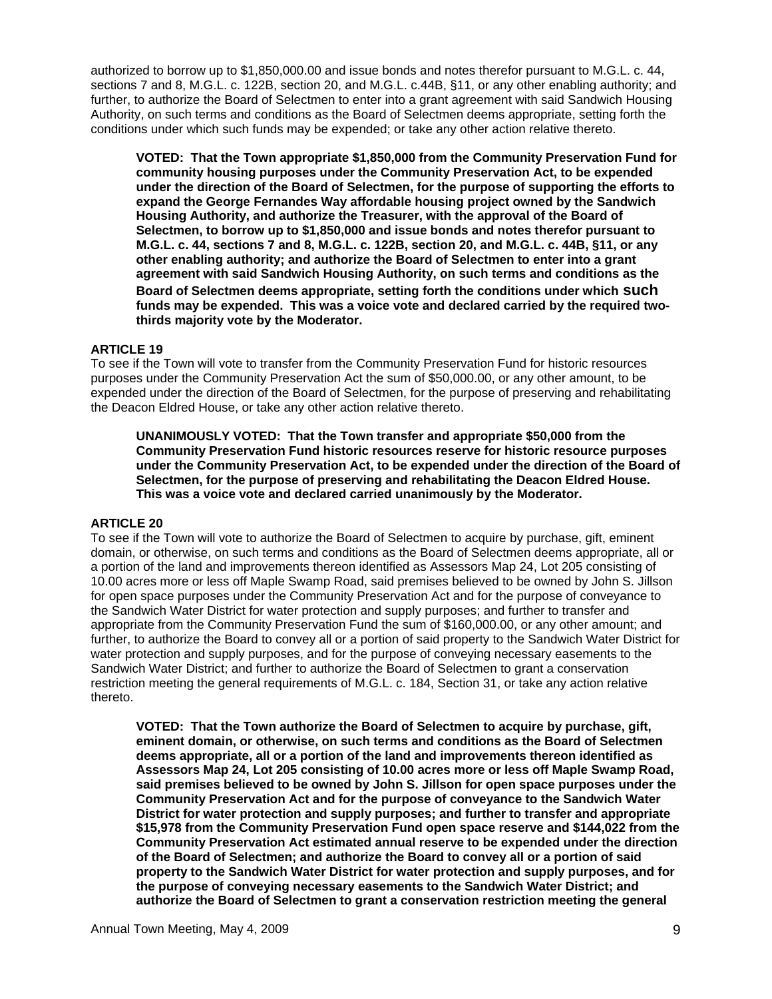authorized to borrow up to \$1,850,000.00 and issue bonds and notes therefor pursuant to M.G.L. c. 44, sections 7 and 8, M.G.L. c. 122B, section 20, and M.G.L. c.44B, §11, or any other enabling authority; and further, to authorize the Board of Selectmen to enter into a grant agreement with said Sandwich Housing Authority, on such terms and conditions as the Board of Selectmen deems appropriate, setting forth the conditions under which such funds may be expended; or take any other action relative thereto.

**VOTED: That the Town appropriate \$1,850,000 from the Community Preservation Fund for community housing purposes under the Community Preservation Act, to be expended under the direction of the Board of Selectmen, for the purpose of supporting the efforts to expand the George Fernandes Way affordable housing project owned by the Sandwich Housing Authority, and authorize the Treasurer, with the approval of the Board of Selectmen, to borrow up to \$1,850,000 and issue bonds and notes therefor pursuant to M.G.L. c. 44, sections 7 and 8, M.G.L. c. 122B, section 20, and M.G.L. c. 44B, §11, or any other enabling authority; and authorize the Board of Selectmen to enter into a grant agreement with said Sandwich Housing Authority, on such terms and conditions as the Board of Selectmen deems appropriate, setting forth the conditions under which such funds may be expended. This was a voice vote and declared carried by the required twothirds majority vote by the Moderator.** 

## **ARTICLE 19**

To see if the Town will vote to transfer from the Community Preservation Fund for historic resources purposes under the Community Preservation Act the sum of \$50,000.00, or any other amount, to be expended under the direction of the Board of Selectmen, for the purpose of preserving and rehabilitating the Deacon Eldred House, or take any other action relative thereto.

**UNANIMOUSLY VOTED: That the Town transfer and appropriate \$50,000 from the Community Preservation Fund historic resources reserve for historic resource purposes under the Community Preservation Act, to be expended under the direction of the Board of Selectmen, for the purpose of preserving and rehabilitating the Deacon Eldred House. This was a voice vote and declared carried unanimously by the Moderator.** 

### **ARTICLE 20**

To see if the Town will vote to authorize the Board of Selectmen to acquire by purchase, gift, eminent domain, or otherwise, on such terms and conditions as the Board of Selectmen deems appropriate, all or a portion of the land and improvements thereon identified as Assessors Map 24, Lot 205 consisting of 10.00 acres more or less off Maple Swamp Road, said premises believed to be owned by John S. Jillson for open space purposes under the Community Preservation Act and for the purpose of conveyance to the Sandwich Water District for water protection and supply purposes; and further to transfer and appropriate from the Community Preservation Fund the sum of \$160,000.00, or any other amount; and further, to authorize the Board to convey all or a portion of said property to the Sandwich Water District for water protection and supply purposes, and for the purpose of conveying necessary easements to the Sandwich Water District; and further to authorize the Board of Selectmen to grant a conservation restriction meeting the general requirements of M.G.L. c. 184, Section 31, or take any action relative thereto.

**VOTED: That the Town authorize the Board of Selectmen to acquire by purchase, gift, eminent domain, or otherwise, on such terms and conditions as the Board of Selectmen deems appropriate, all or a portion of the land and improvements thereon identified as Assessors Map 24, Lot 205 consisting of 10.00 acres more or less off Maple Swamp Road, said premises believed to be owned by John S. Jillson for open space purposes under the Community Preservation Act and for the purpose of conveyance to the Sandwich Water District for water protection and supply purposes; and further to transfer and appropriate \$15,978 from the Community Preservation Fund open space reserve and \$144,022 from the Community Preservation Act estimated annual reserve to be expended under the direction of the Board of Selectmen; and authorize the Board to convey all or a portion of said property to the Sandwich Water District for water protection and supply purposes, and for the purpose of conveying necessary easements to the Sandwich Water District; and authorize the Board of Selectmen to grant a conservation restriction meeting the general**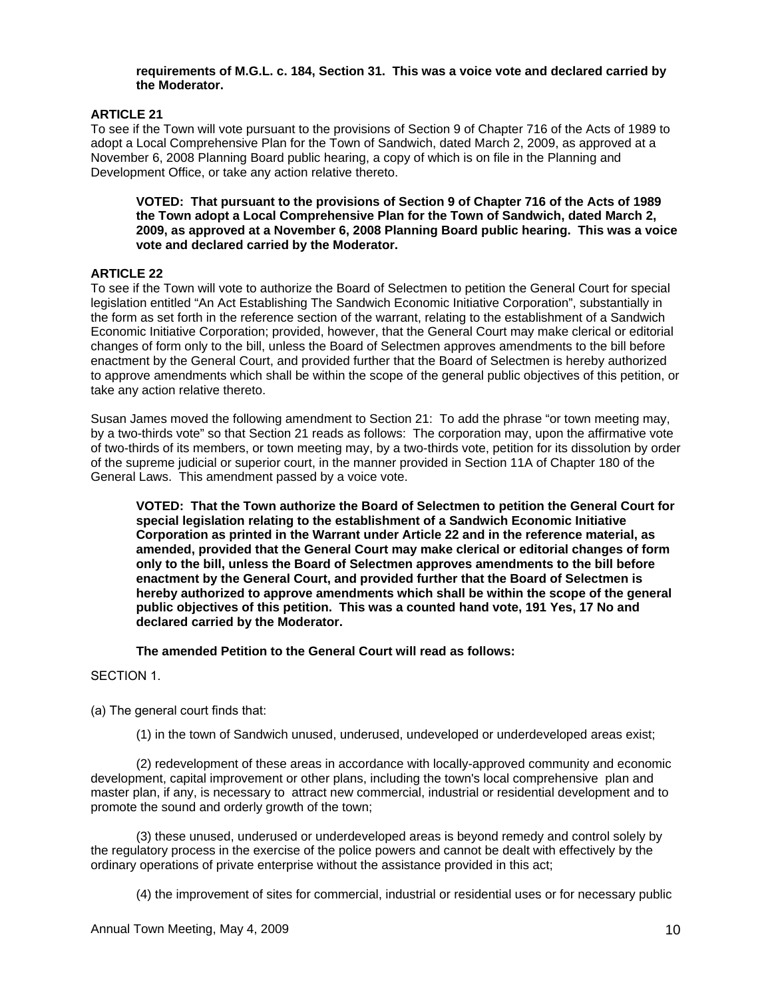### **requirements of M.G.L. c. 184, Section 31. This was a voice vote and declared carried by the Moderator.**

## **ARTICLE 21**

To see if the Town will vote pursuant to the provisions of Section 9 of Chapter 716 of the Acts of 1989 to adopt a Local Comprehensive Plan for the Town of Sandwich, dated March 2, 2009, as approved at a November 6, 2008 Planning Board public hearing, a copy of which is on file in the Planning and Development Office, or take any action relative thereto.

**VOTED: That pursuant to the provisions of Section 9 of Chapter 716 of the Acts of 1989 the Town adopt a Local Comprehensive Plan for the Town of Sandwich, dated March 2, 2009, as approved at a November 6, 2008 Planning Board public hearing. This was a voice vote and declared carried by the Moderator.** 

## **ARTICLE 22**

To see if the Town will vote to authorize the Board of Selectmen to petition the General Court for special legislation entitled "An Act Establishing The Sandwich Economic Initiative Corporation", substantially in the form as set forth in the reference section of the warrant, relating to the establishment of a Sandwich Economic Initiative Corporation; provided, however, that the General Court may make clerical or editorial changes of form only to the bill, unless the Board of Selectmen approves amendments to the bill before enactment by the General Court, and provided further that the Board of Selectmen is hereby authorized to approve amendments which shall be within the scope of the general public objectives of this petition, or take any action relative thereto.

Susan James moved the following amendment to Section 21: To add the phrase "or town meeting may, by a two-thirds vote" so that Section 21 reads as follows: The corporation may, upon the affirmative vote of two-thirds of its members, or town meeting may, by a two-thirds vote, petition for its dissolution by order of the supreme judicial or superior court, in the manner provided in Section 11A of Chapter 180 of the General Laws. This amendment passed by a voice vote.

**VOTED: That the Town authorize the Board of Selectmen to petition the General Court for special legislation relating to the establishment of a Sandwich Economic Initiative Corporation as printed in the Warrant under Article 22 and in the reference material, as amended, provided that the General Court may make clerical or editorial changes of form only to the bill, unless the Board of Selectmen approves amendments to the bill before enactment by the General Court, and provided further that the Board of Selectmen is hereby authorized to approve amendments which shall be within the scope of the general public objectives of this petition. This was a counted hand vote, 191 Yes, 17 No and declared carried by the Moderator.** 

**The amended Petition to the General Court will read as follows:** 

### SECTION 1.

(a) The general court finds that:

(1) in the town of Sandwich unused, underused, undeveloped or underdeveloped areas exist;

 (2) redevelopment of these areas in accordance with locally-approved community and economic development, capital improvement or other plans, including the town's local comprehensive plan and master plan, if any, is necessary to attract new commercial, industrial or residential development and to promote the sound and orderly growth of the town;

 (3) these unused, underused or underdeveloped areas is beyond remedy and control solely by the regulatory process in the exercise of the police powers and cannot be dealt with effectively by the ordinary operations of private enterprise without the assistance provided in this act;

(4) the improvement of sites for commercial, industrial or residential uses or for necessary public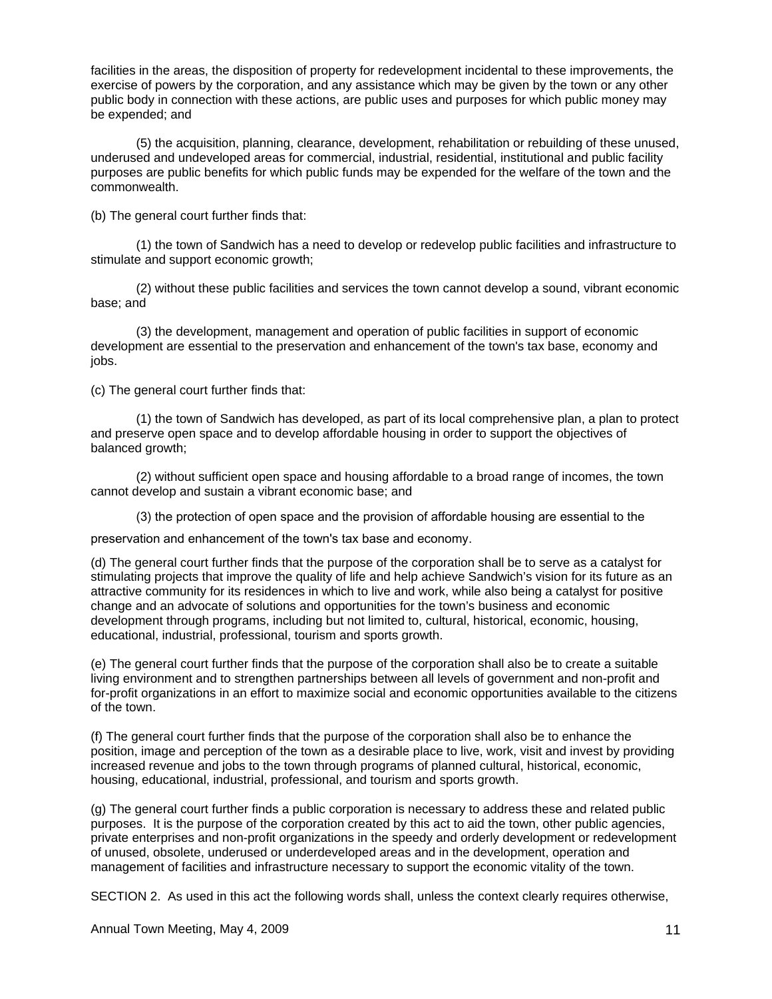facilities in the areas, the disposition of property for redevelopment incidental to these improvements, the exercise of powers by the corporation, and any assistance which may be given by the town or any other public body in connection with these actions, are public uses and purposes for which public money may be expended; and

 (5) the acquisition, planning, clearance, development, rehabilitation or rebuilding of these unused, underused and undeveloped areas for commercial, industrial, residential, institutional and public facility purposes are public benefits for which public funds may be expended for the welfare of the town and the commonwealth.

(b) The general court further finds that:

 (1) the town of Sandwich has a need to develop or redevelop public facilities and infrastructure to stimulate and support economic growth;

 (2) without these public facilities and services the town cannot develop a sound, vibrant economic base; and

 (3) the development, management and operation of public facilities in support of economic development are essential to the preservation and enhancement of the town's tax base, economy and jobs.

(c) The general court further finds that:

 (1) the town of Sandwich has developed, as part of its local comprehensive plan, a plan to protect and preserve open space and to develop affordable housing in order to support the objectives of balanced growth;

 (2) without sufficient open space and housing affordable to a broad range of incomes, the town cannot develop and sustain a vibrant economic base; and

(3) the protection of open space and the provision of affordable housing are essential to the

preservation and enhancement of the town's tax base and economy.

(d) The general court further finds that the purpose of the corporation shall be to serve as a catalyst for stimulating projects that improve the quality of life and help achieve Sandwich's vision for its future as an attractive community for its residences in which to live and work, while also being a catalyst for positive change and an advocate of solutions and opportunities for the town's business and economic development through programs, including but not limited to, cultural, historical, economic, housing, educational, industrial, professional, tourism and sports growth.

(e) The general court further finds that the purpose of the corporation shall also be to create a suitable living environment and to strengthen partnerships between all levels of government and non-profit and for-profit organizations in an effort to maximize social and economic opportunities available to the citizens of the town.

(f) The general court further finds that the purpose of the corporation shall also be to enhance the position, image and perception of the town as a desirable place to live, work, visit and invest by providing increased revenue and jobs to the town through programs of planned cultural, historical, economic, housing, educational, industrial, professional, and tourism and sports growth.

(g) The general court further finds a public corporation is necessary to address these and related public purposes. It is the purpose of the corporation created by this act to aid the town, other public agencies, private enterprises and non-profit organizations in the speedy and orderly development or redevelopment of unused, obsolete, underused or underdeveloped areas and in the development, operation and management of facilities and infrastructure necessary to support the economic vitality of the town.

SECTION 2. As used in this act the following words shall, unless the context clearly requires otherwise,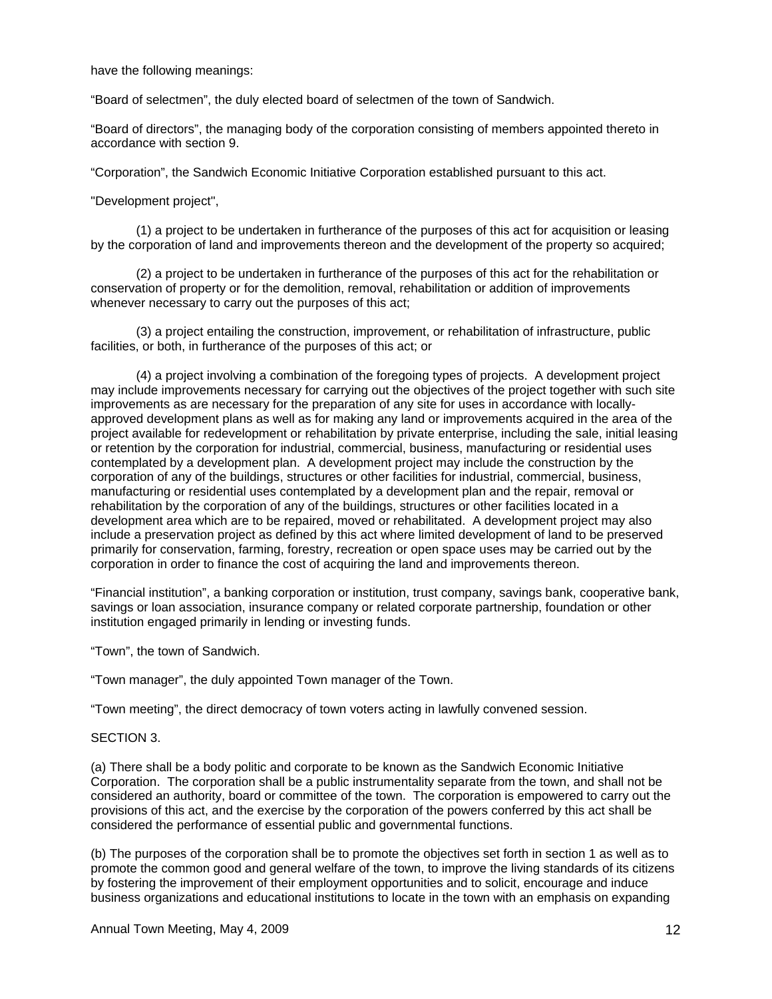have the following meanings:

"Board of selectmen", the duly elected board of selectmen of the town of Sandwich.

"Board of directors", the managing body of the corporation consisting of members appointed thereto in accordance with section 9.

"Corporation", the Sandwich Economic Initiative Corporation established pursuant to this act.

"Development project",

 (1) a project to be undertaken in furtherance of the purposes of this act for acquisition or leasing by the corporation of land and improvements thereon and the development of the property so acquired;

 (2) a project to be undertaken in furtherance of the purposes of this act for the rehabilitation or conservation of property or for the demolition, removal, rehabilitation or addition of improvements whenever necessary to carry out the purposes of this act;

 (3) a project entailing the construction, improvement, or rehabilitation of infrastructure, public facilities, or both, in furtherance of the purposes of this act; or

 (4) a project involving a combination of the foregoing types of projects. A development project may include improvements necessary for carrying out the objectives of the project together with such site improvements as are necessary for the preparation of any site for uses in accordance with locallyapproved development plans as well as for making any land or improvements acquired in the area of the project available for redevelopment or rehabilitation by private enterprise, including the sale, initial leasing or retention by the corporation for industrial, commercial, business, manufacturing or residential uses contemplated by a development plan. A development project may include the construction by the corporation of any of the buildings, structures or other facilities for industrial, commercial, business, manufacturing or residential uses contemplated by a development plan and the repair, removal or rehabilitation by the corporation of any of the buildings, structures or other facilities located in a development area which are to be repaired, moved or rehabilitated. A development project may also include a preservation project as defined by this act where limited development of land to be preserved primarily for conservation, farming, forestry, recreation or open space uses may be carried out by the corporation in order to finance the cost of acquiring the land and improvements thereon.

"Financial institution", a banking corporation or institution, trust company, savings bank, cooperative bank, savings or loan association, insurance company or related corporate partnership, foundation or other institution engaged primarily in lending or investing funds.

"Town", the town of Sandwich.

"Town manager", the duly appointed Town manager of the Town.

"Town meeting", the direct democracy of town voters acting in lawfully convened session.

#### SECTION 3.

(a) There shall be a body politic and corporate to be known as the Sandwich Economic Initiative Corporation. The corporation shall be a public instrumentality separate from the town, and shall not be considered an authority, board or committee of the town. The corporation is empowered to carry out the provisions of this act, and the exercise by the corporation of the powers conferred by this act shall be considered the performance of essential public and governmental functions.

(b) The purposes of the corporation shall be to promote the objectives set forth in section 1 as well as to promote the common good and general welfare of the town, to improve the living standards of its citizens by fostering the improvement of their employment opportunities and to solicit, encourage and induce business organizations and educational institutions to locate in the town with an emphasis on expanding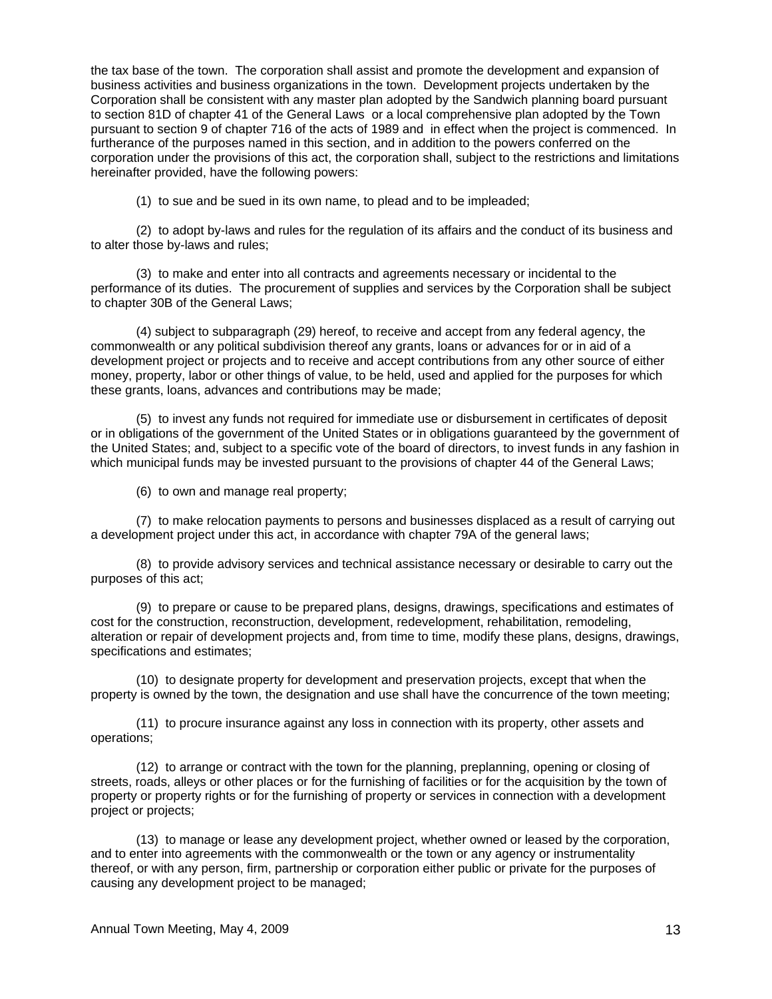the tax base of the town. The corporation shall assist and promote the development and expansion of business activities and business organizations in the town. Development projects undertaken by the Corporation shall be consistent with any master plan adopted by the Sandwich planning board pursuant to section 81D of chapter 41 of the General Laws or a local comprehensive plan adopted by the Town pursuant to section 9 of chapter 716 of the acts of 1989 and in effect when the project is commenced. In furtherance of the purposes named in this section, and in addition to the powers conferred on the corporation under the provisions of this act, the corporation shall, subject to the restrictions and limitations hereinafter provided, have the following powers:

(1) to sue and be sued in its own name, to plead and to be impleaded;

 (2) to adopt by-laws and rules for the regulation of its affairs and the conduct of its business and to alter those by-laws and rules;

 (3) to make and enter into all contracts and agreements necessary or incidental to the performance of its duties. The procurement of supplies and services by the Corporation shall be subject to chapter 30B of the General Laws;

 (4) subject to subparagraph (29) hereof, to receive and accept from any federal agency, the commonwealth or any political subdivision thereof any grants, loans or advances for or in aid of a development project or projects and to receive and accept contributions from any other source of either money, property, labor or other things of value, to be held, used and applied for the purposes for which these grants, loans, advances and contributions may be made;

 (5) to invest any funds not required for immediate use or disbursement in certificates of deposit or in obligations of the government of the United States or in obligations guaranteed by the government of the United States; and, subject to a specific vote of the board of directors, to invest funds in any fashion in which municipal funds may be invested pursuant to the provisions of chapter 44 of the General Laws;

(6) to own and manage real property;

 (7) to make relocation payments to persons and businesses displaced as a result of carrying out a development project under this act, in accordance with chapter 79A of the general laws;

 (8) to provide advisory services and technical assistance necessary or desirable to carry out the purposes of this act;

 (9) to prepare or cause to be prepared plans, designs, drawings, specifications and estimates of cost for the construction, reconstruction, development, redevelopment, rehabilitation, remodeling, alteration or repair of development projects and, from time to time, modify these plans, designs, drawings, specifications and estimates;

 (10) to designate property for development and preservation projects, except that when the property is owned by the town, the designation and use shall have the concurrence of the town meeting;

 (11) to procure insurance against any loss in connection with its property, other assets and operations;

 (12) to arrange or contract with the town for the planning, preplanning, opening or closing of streets, roads, alleys or other places or for the furnishing of facilities or for the acquisition by the town of property or property rights or for the furnishing of property or services in connection with a development project or projects;

 (13) to manage or lease any development project, whether owned or leased by the corporation, and to enter into agreements with the commonwealth or the town or any agency or instrumentality thereof, or with any person, firm, partnership or corporation either public or private for the purposes of causing any development project to be managed;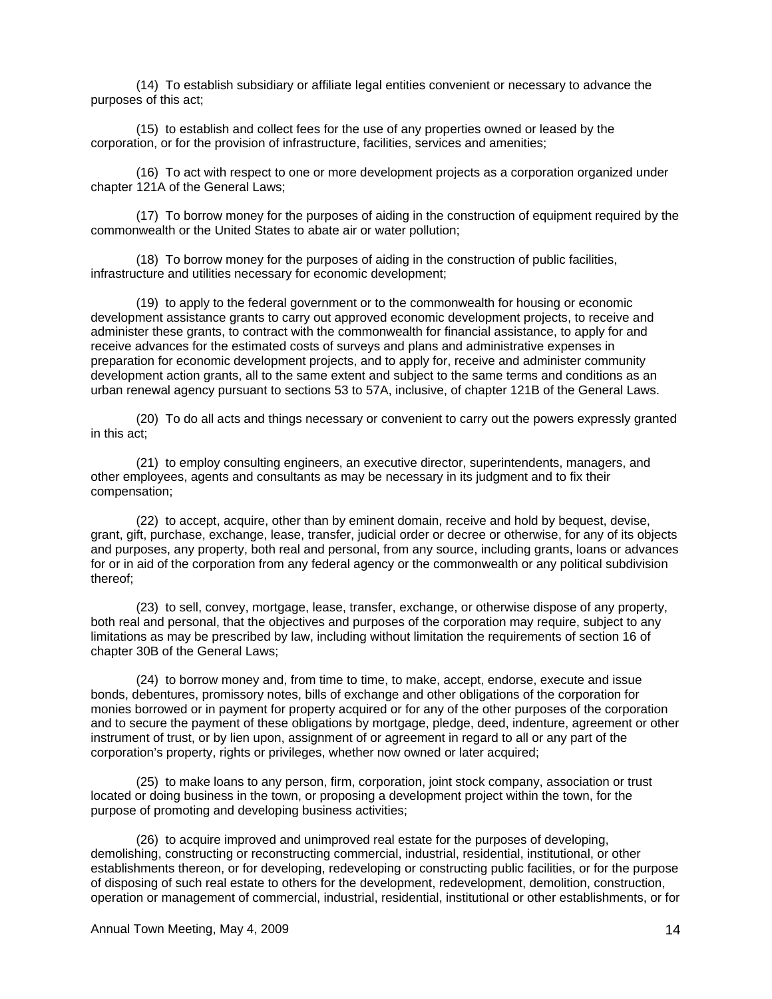(14) To establish subsidiary or affiliate legal entities convenient or necessary to advance the purposes of this act;

 (15) to establish and collect fees for the use of any properties owned or leased by the corporation, or for the provision of infrastructure, facilities, services and amenities;

 (16) To act with respect to one or more development projects as a corporation organized under chapter 121A of the General Laws;

 (17) To borrow money for the purposes of aiding in the construction of equipment required by the commonwealth or the United States to abate air or water pollution;

 (18) To borrow money for the purposes of aiding in the construction of public facilities, infrastructure and utilities necessary for economic development;

 (19) to apply to the federal government or to the commonwealth for housing or economic development assistance grants to carry out approved economic development projects, to receive and administer these grants, to contract with the commonwealth for financial assistance, to apply for and receive advances for the estimated costs of surveys and plans and administrative expenses in preparation for economic development projects, and to apply for, receive and administer community development action grants, all to the same extent and subject to the same terms and conditions as an urban renewal agency pursuant to sections 53 to 57A, inclusive, of chapter 121B of the General Laws.

 (20) To do all acts and things necessary or convenient to carry out the powers expressly granted in this act;

 (21) to employ consulting engineers, an executive director, superintendents, managers, and other employees, agents and consultants as may be necessary in its judgment and to fix their compensation;

 (22) to accept, acquire, other than by eminent domain, receive and hold by bequest, devise, grant, gift, purchase, exchange, lease, transfer, judicial order or decree or otherwise, for any of its objects and purposes, any property, both real and personal, from any source, including grants, loans or advances for or in aid of the corporation from any federal agency or the commonwealth or any political subdivision thereof;

 (23) to sell, convey, mortgage, lease, transfer, exchange, or otherwise dispose of any property, both real and personal, that the objectives and purposes of the corporation may require, subject to any limitations as may be prescribed by law, including without limitation the requirements of section 16 of chapter 30B of the General Laws;

 (24) to borrow money and, from time to time, to make, accept, endorse, execute and issue bonds, debentures, promissory notes, bills of exchange and other obligations of the corporation for monies borrowed or in payment for property acquired or for any of the other purposes of the corporation and to secure the payment of these obligations by mortgage, pledge, deed, indenture, agreement or other instrument of trust, or by lien upon, assignment of or agreement in regard to all or any part of the corporation's property, rights or privileges, whether now owned or later acquired;

 (25) to make loans to any person, firm, corporation, joint stock company, association or trust located or doing business in the town, or proposing a development project within the town, for the purpose of promoting and developing business activities;

 (26) to acquire improved and unimproved real estate for the purposes of developing, demolishing, constructing or reconstructing commercial, industrial, residential, institutional, or other establishments thereon, or for developing, redeveloping or constructing public facilities, or for the purpose of disposing of such real estate to others for the development, redevelopment, demolition, construction, operation or management of commercial, industrial, residential, institutional or other establishments, or for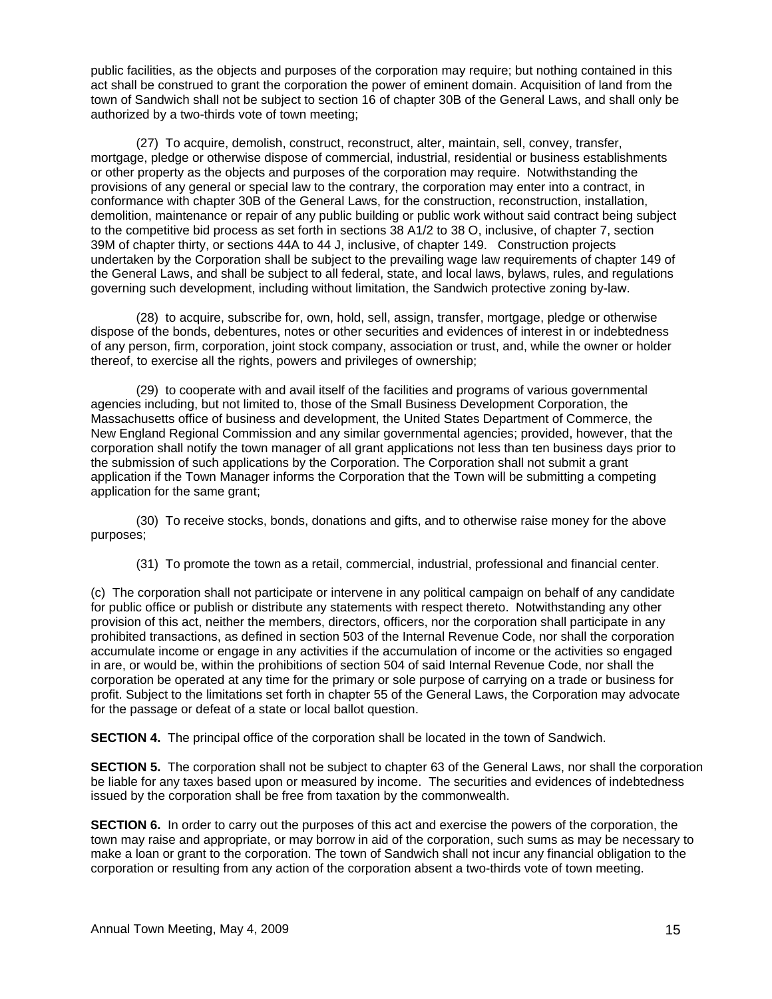public facilities, as the objects and purposes of the corporation may require; but nothing contained in this act shall be construed to grant the corporation the power of eminent domain. Acquisition of land from the town of Sandwich shall not be subject to section 16 of chapter 30B of the General Laws, and shall only be authorized by a two-thirds vote of town meeting;

 (27) To acquire, demolish, construct, reconstruct, alter, maintain, sell, convey, transfer, mortgage, pledge or otherwise dispose of commercial, industrial, residential or business establishments or other property as the objects and purposes of the corporation may require. Notwithstanding the provisions of any general or special law to the contrary, the corporation may enter into a contract, in conformance with chapter 30B of the General Laws, for the construction, reconstruction, installation, demolition, maintenance or repair of any public building or public work without said contract being subject to the competitive bid process as set forth in sections 38 A1/2 to 38 O, inclusive, of chapter 7, section 39M of chapter thirty, or sections 44A to 44 J, inclusive, of chapter 149. Construction projects undertaken by the Corporation shall be subject to the prevailing wage law requirements of chapter 149 of the General Laws, and shall be subject to all federal, state, and local laws, bylaws, rules, and regulations governing such development, including without limitation, the Sandwich protective zoning by-law.

 (28) to acquire, subscribe for, own, hold, sell, assign, transfer, mortgage, pledge or otherwise dispose of the bonds, debentures, notes or other securities and evidences of interest in or indebtedness of any person, firm, corporation, joint stock company, association or trust, and, while the owner or holder thereof, to exercise all the rights, powers and privileges of ownership;

 (29) to cooperate with and avail itself of the facilities and programs of various governmental agencies including, but not limited to, those of the Small Business Development Corporation, the Massachusetts office of business and development, the United States Department of Commerce, the New England Regional Commission and any similar governmental agencies; provided, however, that the corporation shall notify the town manager of all grant applications not less than ten business days prior to the submission of such applications by the Corporation. The Corporation shall not submit a grant application if the Town Manager informs the Corporation that the Town will be submitting a competing application for the same grant;

 (30) To receive stocks, bonds, donations and gifts, and to otherwise raise money for the above purposes;

(31) To promote the town as a retail, commercial, industrial, professional and financial center.

(c) The corporation shall not participate or intervene in any political campaign on behalf of any candidate for public office or publish or distribute any statements with respect thereto. Notwithstanding any other provision of this act, neither the members, directors, officers, nor the corporation shall participate in any prohibited transactions, as defined in section 503 of the Internal Revenue Code, nor shall the corporation accumulate income or engage in any activities if the accumulation of income or the activities so engaged in are, or would be, within the prohibitions of section 504 of said Internal Revenue Code, nor shall the corporation be operated at any time for the primary or sole purpose of carrying on a trade or business for profit. Subject to the limitations set forth in chapter 55 of the General Laws, the Corporation may advocate for the passage or defeat of a state or local ballot question.

**SECTION 4.** The principal office of the corporation shall be located in the town of Sandwich.

**SECTION 5.** The corporation shall not be subject to chapter 63 of the General Laws, nor shall the corporation be liable for any taxes based upon or measured by income. The securities and evidences of indebtedness issued by the corporation shall be free from taxation by the commonwealth.

**SECTION 6.** In order to carry out the purposes of this act and exercise the powers of the corporation, the town may raise and appropriate, or may borrow in aid of the corporation, such sums as may be necessary to make a loan or grant to the corporation. The town of Sandwich shall not incur any financial obligation to the corporation or resulting from any action of the corporation absent a two-thirds vote of town meeting.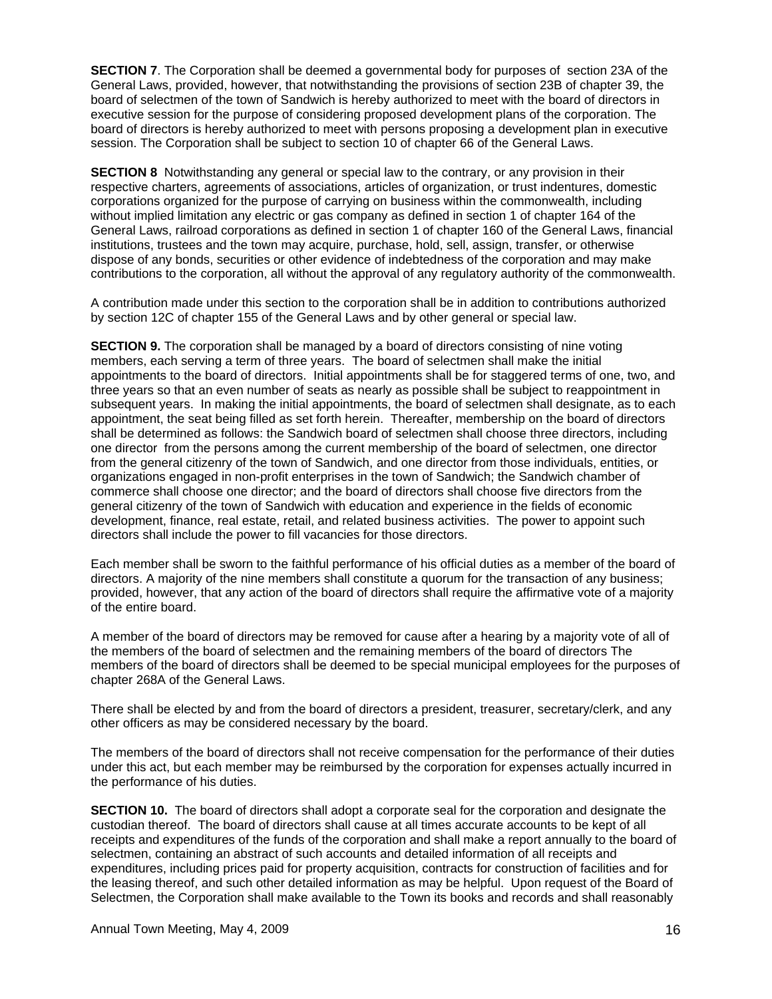**SECTION 7**. The Corporation shall be deemed a governmental body for purposes of section 23A of the General Laws, provided, however, that notwithstanding the provisions of section 23B of chapter 39, the board of selectmen of the town of Sandwich is hereby authorized to meet with the board of directors in executive session for the purpose of considering proposed development plans of the corporation. The board of directors is hereby authorized to meet with persons proposing a development plan in executive session. The Corporation shall be subject to section 10 of chapter 66 of the General Laws.

**SECTION 8** Notwithstanding any general or special law to the contrary, or any provision in their respective charters, agreements of associations, articles of organization, or trust indentures, domestic corporations organized for the purpose of carrying on business within the commonwealth, including without implied limitation any electric or gas company as defined in section 1 of chapter 164 of the General Laws, railroad corporations as defined in section 1 of chapter 160 of the General Laws, financial institutions, trustees and the town may acquire, purchase, hold, sell, assign, transfer, or otherwise dispose of any bonds, securities or other evidence of indebtedness of the corporation and may make contributions to the corporation, all without the approval of any regulatory authority of the commonwealth.

A contribution made under this section to the corporation shall be in addition to contributions authorized by section 12C of chapter 155 of the General Laws and by other general or special law.

**SECTION 9.** The corporation shall be managed by a board of directors consisting of nine voting members, each serving a term of three years. The board of selectmen shall make the initial appointments to the board of directors. Initial appointments shall be for staggered terms of one, two, and three years so that an even number of seats as nearly as possible shall be subject to reappointment in subsequent years. In making the initial appointments, the board of selectmen shall designate, as to each appointment, the seat being filled as set forth herein. Thereafter, membership on the board of directors shall be determined as follows: the Sandwich board of selectmen shall choose three directors, including one director from the persons among the current membership of the board of selectmen, one director from the general citizenry of the town of Sandwich, and one director from those individuals, entities, or organizations engaged in non-profit enterprises in the town of Sandwich; the Sandwich chamber of commerce shall choose one director; and the board of directors shall choose five directors from the general citizenry of the town of Sandwich with education and experience in the fields of economic development, finance, real estate, retail, and related business activities. The power to appoint such directors shall include the power to fill vacancies for those directors.

Each member shall be sworn to the faithful performance of his official duties as a member of the board of directors. A majority of the nine members shall constitute a quorum for the transaction of any business; provided, however, that any action of the board of directors shall require the affirmative vote of a majority of the entire board.

A member of the board of directors may be removed for cause after a hearing by a majority vote of all of the members of the board of selectmen and the remaining members of the board of directors The members of the board of directors shall be deemed to be special municipal employees for the purposes of chapter 268A of the General Laws.

There shall be elected by and from the board of directors a president, treasurer, secretary/clerk, and any other officers as may be considered necessary by the board.

The members of the board of directors shall not receive compensation for the performance of their duties under this act, but each member may be reimbursed by the corporation for expenses actually incurred in the performance of his duties.

**SECTION 10.** The board of directors shall adopt a corporate seal for the corporation and designate the custodian thereof. The board of directors shall cause at all times accurate accounts to be kept of all receipts and expenditures of the funds of the corporation and shall make a report annually to the board of selectmen, containing an abstract of such accounts and detailed information of all receipts and expenditures, including prices paid for property acquisition, contracts for construction of facilities and for the leasing thereof, and such other detailed information as may be helpful. Upon request of the Board of Selectmen, the Corporation shall make available to the Town its books and records and shall reasonably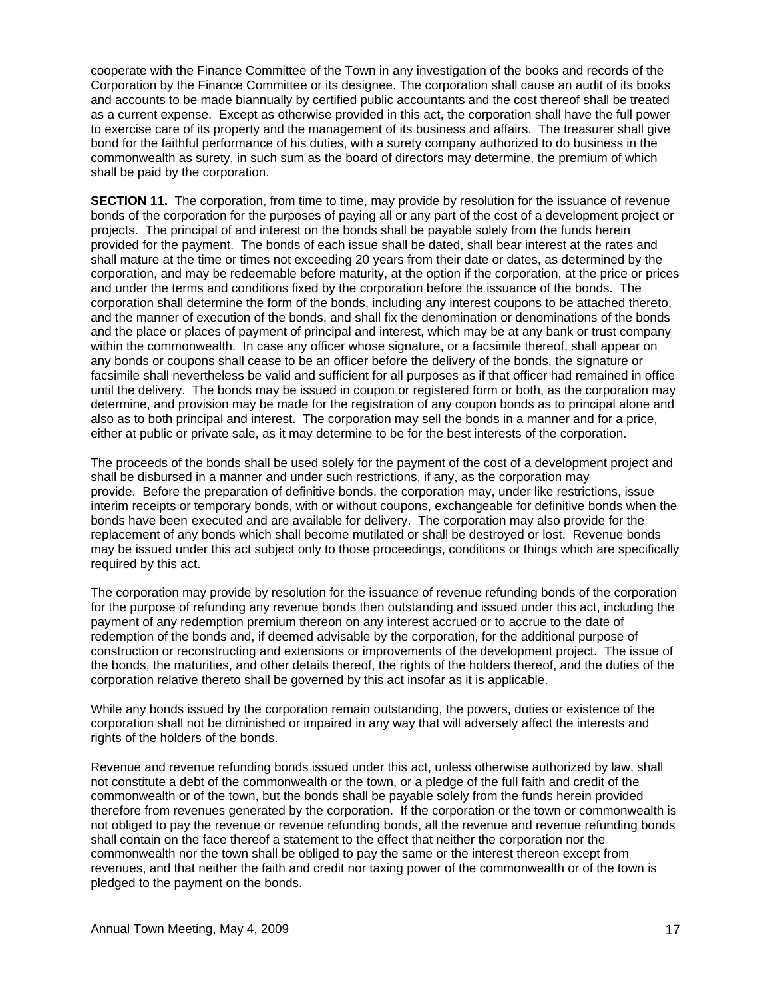cooperate with the Finance Committee of the Town in any investigation of the books and records of the Corporation by the Finance Committee or its designee. The corporation shall cause an audit of its books and accounts to be made biannually by certified public accountants and the cost thereof shall be treated as a current expense. Except as otherwise provided in this act, the corporation shall have the full power to exercise care of its property and the management of its business and affairs. The treasurer shall give bond for the faithful performance of his duties, with a surety company authorized to do business in the commonwealth as surety, in such sum as the board of directors may determine, the premium of which shall be paid by the corporation.

**SECTION 11.** The corporation, from time to time, may provide by resolution for the issuance of revenue bonds of the corporation for the purposes of paying all or any part of the cost of a development project or projects. The principal of and interest on the bonds shall be payable solely from the funds herein provided for the payment. The bonds of each issue shall be dated, shall bear interest at the rates and shall mature at the time or times not exceeding 20 years from their date or dates, as determined by the corporation, and may be redeemable before maturity, at the option if the corporation, at the price or prices and under the terms and conditions fixed by the corporation before the issuance of the bonds. The corporation shall determine the form of the bonds, including any interest coupons to be attached thereto, and the manner of execution of the bonds, and shall fix the denomination or denominations of the bonds and the place or places of payment of principal and interest, which may be at any bank or trust company within the commonwealth. In case any officer whose signature, or a facsimile thereof, shall appear on any bonds or coupons shall cease to be an officer before the delivery of the bonds, the signature or facsimile shall nevertheless be valid and sufficient for all purposes as if that officer had remained in office until the delivery. The bonds may be issued in coupon or registered form or both, as the corporation may determine, and provision may be made for the registration of any coupon bonds as to principal alone and also as to both principal and interest. The corporation may sell the bonds in a manner and for a price, either at public or private sale, as it may determine to be for the best interests of the corporation.

The proceeds of the bonds shall be used solely for the payment of the cost of a development project and shall be disbursed in a manner and under such restrictions, if any, as the corporation may provide. Before the preparation of definitive bonds, the corporation may, under like restrictions, issue interim receipts or temporary bonds, with or without coupons, exchangeable for definitive bonds when the bonds have been executed and are available for delivery. The corporation may also provide for the replacement of any bonds which shall become mutilated or shall be destroyed or lost. Revenue bonds may be issued under this act subject only to those proceedings, conditions or things which are specifically required by this act.

The corporation may provide by resolution for the issuance of revenue refunding bonds of the corporation for the purpose of refunding any revenue bonds then outstanding and issued under this act, including the payment of any redemption premium thereon on any interest accrued or to accrue to the date of redemption of the bonds and, if deemed advisable by the corporation, for the additional purpose of construction or reconstructing and extensions or improvements of the development project. The issue of the bonds, the maturities, and other details thereof, the rights of the holders thereof, and the duties of the corporation relative thereto shall be governed by this act insofar as it is applicable.

While any bonds issued by the corporation remain outstanding, the powers, duties or existence of the corporation shall not be diminished or impaired in any way that will adversely affect the interests and rights of the holders of the bonds.

Revenue and revenue refunding bonds issued under this act, unless otherwise authorized by law, shall not constitute a debt of the commonwealth or the town, or a pledge of the full faith and credit of the commonwealth or of the town, but the bonds shall be payable solely from the funds herein provided therefore from revenues generated by the corporation. If the corporation or the town or commonwealth is not obliged to pay the revenue or revenue refunding bonds, all the revenue and revenue refunding bonds shall contain on the face thereof a statement to the effect that neither the corporation nor the commonwealth nor the town shall be obliged to pay the same or the interest thereon except from revenues, and that neither the faith and credit nor taxing power of the commonwealth or of the town is pledged to the payment on the bonds.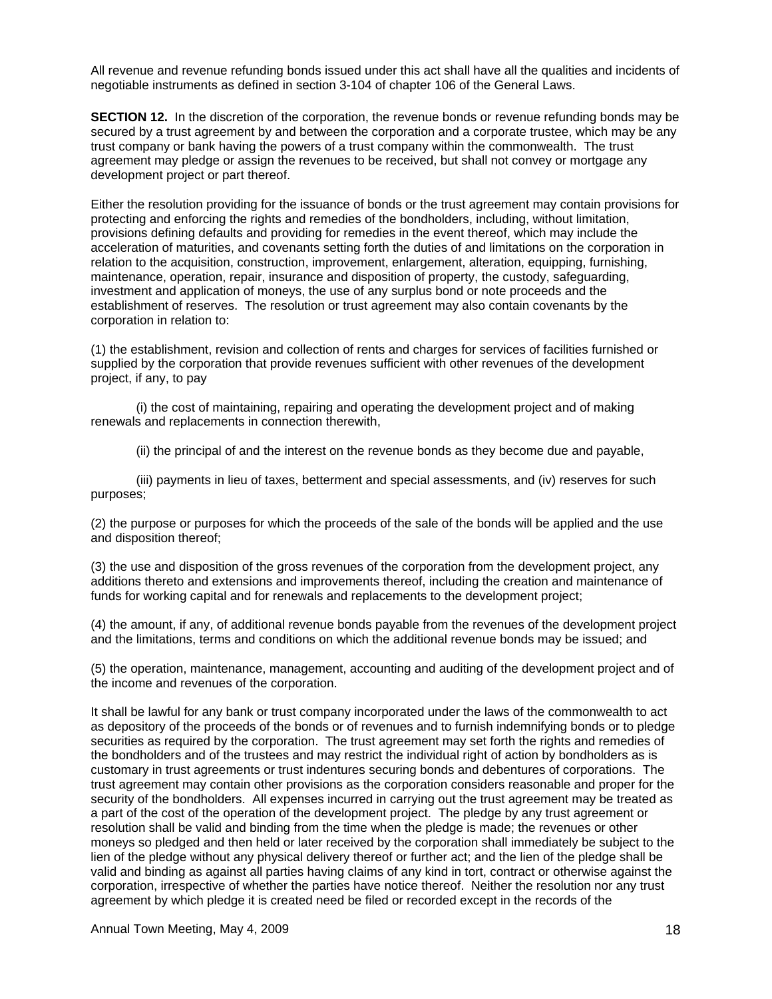All revenue and revenue refunding bonds issued under this act shall have all the qualities and incidents of negotiable instruments as defined in section 3-104 of chapter 106 of the General Laws.

**SECTION 12.** In the discretion of the corporation, the revenue bonds or revenue refunding bonds may be secured by a trust agreement by and between the corporation and a corporate trustee, which may be any trust company or bank having the powers of a trust company within the commonwealth. The trust agreement may pledge or assign the revenues to be received, but shall not convey or mortgage any development project or part thereof.

Either the resolution providing for the issuance of bonds or the trust agreement may contain provisions for protecting and enforcing the rights and remedies of the bondholders, including, without limitation, provisions defining defaults and providing for remedies in the event thereof, which may include the acceleration of maturities, and covenants setting forth the duties of and limitations on the corporation in relation to the acquisition, construction, improvement, enlargement, alteration, equipping, furnishing, maintenance, operation, repair, insurance and disposition of property, the custody, safeguarding, investment and application of moneys, the use of any surplus bond or note proceeds and the establishment of reserves. The resolution or trust agreement may also contain covenants by the corporation in relation to:

(1) the establishment, revision and collection of rents and charges for services of facilities furnished or supplied by the corporation that provide revenues sufficient with other revenues of the development project, if any, to pay

 (i) the cost of maintaining, repairing and operating the development project and of making renewals and replacements in connection therewith,

(ii) the principal of and the interest on the revenue bonds as they become due and payable,

 (iii) payments in lieu of taxes, betterment and special assessments, and (iv) reserves for such purposes;

(2) the purpose or purposes for which the proceeds of the sale of the bonds will be applied and the use and disposition thereof;

(3) the use and disposition of the gross revenues of the corporation from the development project, any additions thereto and extensions and improvements thereof, including the creation and maintenance of funds for working capital and for renewals and replacements to the development project;

(4) the amount, if any, of additional revenue bonds payable from the revenues of the development project and the limitations, terms and conditions on which the additional revenue bonds may be issued; and

(5) the operation, maintenance, management, accounting and auditing of the development project and of the income and revenues of the corporation.

It shall be lawful for any bank or trust company incorporated under the laws of the commonwealth to act as depository of the proceeds of the bonds or of revenues and to furnish indemnifying bonds or to pledge securities as required by the corporation. The trust agreement may set forth the rights and remedies of the bondholders and of the trustees and may restrict the individual right of action by bondholders as is customary in trust agreements or trust indentures securing bonds and debentures of corporations. The trust agreement may contain other provisions as the corporation considers reasonable and proper for the security of the bondholders. All expenses incurred in carrying out the trust agreement may be treated as a part of the cost of the operation of the development project. The pledge by any trust agreement or resolution shall be valid and binding from the time when the pledge is made; the revenues or other moneys so pledged and then held or later received by the corporation shall immediately be subject to the lien of the pledge without any physical delivery thereof or further act; and the lien of the pledge shall be valid and binding as against all parties having claims of any kind in tort, contract or otherwise against the corporation, irrespective of whether the parties have notice thereof. Neither the resolution nor any trust agreement by which pledge it is created need be filed or recorded except in the records of the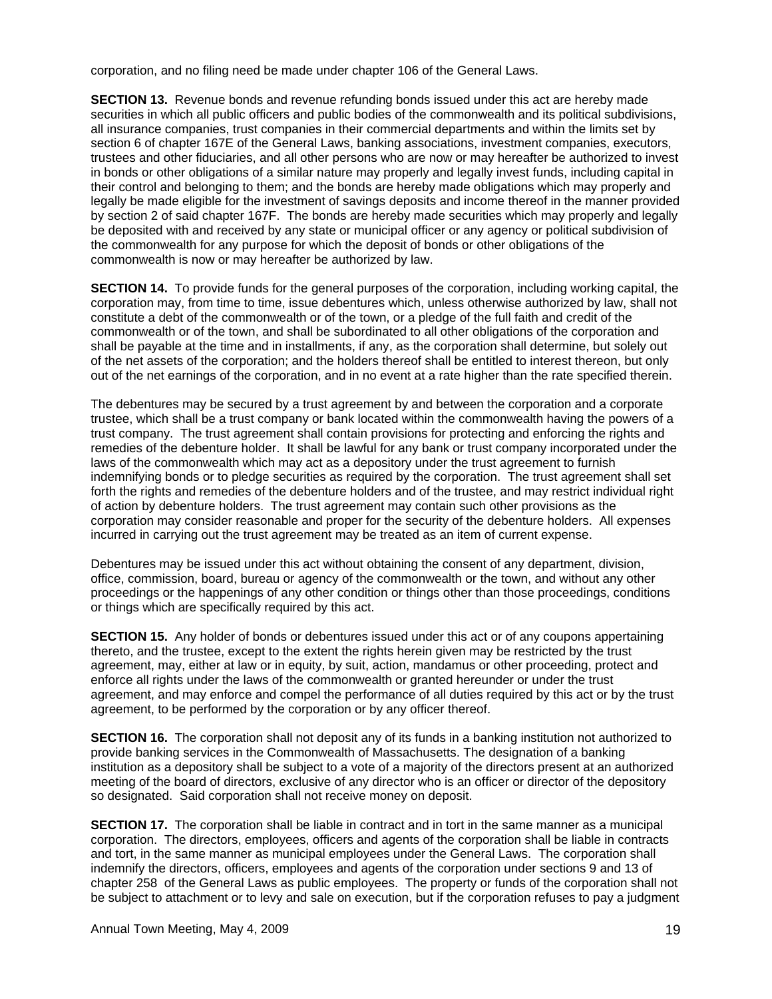corporation, and no filing need be made under chapter 106 of the General Laws.

**SECTION 13.** Revenue bonds and revenue refunding bonds issued under this act are hereby made securities in which all public officers and public bodies of the commonwealth and its political subdivisions, all insurance companies, trust companies in their commercial departments and within the limits set by section 6 of chapter 167E of the General Laws, banking associations, investment companies, executors, trustees and other fiduciaries, and all other persons who are now or may hereafter be authorized to invest in bonds or other obligations of a similar nature may properly and legally invest funds, including capital in their control and belonging to them; and the bonds are hereby made obligations which may properly and legally be made eligible for the investment of savings deposits and income thereof in the manner provided by section 2 of said chapter 167F. The bonds are hereby made securities which may properly and legally be deposited with and received by any state or municipal officer or any agency or political subdivision of the commonwealth for any purpose for which the deposit of bonds or other obligations of the commonwealth is now or may hereafter be authorized by law.

**SECTION 14.** To provide funds for the general purposes of the corporation, including working capital, the corporation may, from time to time, issue debentures which, unless otherwise authorized by law, shall not constitute a debt of the commonwealth or of the town, or a pledge of the full faith and credit of the commonwealth or of the town, and shall be subordinated to all other obligations of the corporation and shall be payable at the time and in installments, if any, as the corporation shall determine, but solely out of the net assets of the corporation; and the holders thereof shall be entitled to interest thereon, but only out of the net earnings of the corporation, and in no event at a rate higher than the rate specified therein.

The debentures may be secured by a trust agreement by and between the corporation and a corporate trustee, which shall be a trust company or bank located within the commonwealth having the powers of a trust company. The trust agreement shall contain provisions for protecting and enforcing the rights and remedies of the debenture holder. It shall be lawful for any bank or trust company incorporated under the laws of the commonwealth which may act as a depository under the trust agreement to furnish indemnifying bonds or to pledge securities as required by the corporation. The trust agreement shall set forth the rights and remedies of the debenture holders and of the trustee, and may restrict individual right of action by debenture holders. The trust agreement may contain such other provisions as the corporation may consider reasonable and proper for the security of the debenture holders. All expenses incurred in carrying out the trust agreement may be treated as an item of current expense.

Debentures may be issued under this act without obtaining the consent of any department, division, office, commission, board, bureau or agency of the commonwealth or the town, and without any other proceedings or the happenings of any other condition or things other than those proceedings, conditions or things which are specifically required by this act.

**SECTION 15.** Any holder of bonds or debentures issued under this act or of any coupons appertaining thereto, and the trustee, except to the extent the rights herein given may be restricted by the trust agreement, may, either at law or in equity, by suit, action, mandamus or other proceeding, protect and enforce all rights under the laws of the commonwealth or granted hereunder or under the trust agreement, and may enforce and compel the performance of all duties required by this act or by the trust agreement, to be performed by the corporation or by any officer thereof.

**SECTION 16.** The corporation shall not deposit any of its funds in a banking institution not authorized to provide banking services in the Commonwealth of Massachusetts. The designation of a banking institution as a depository shall be subject to a vote of a majority of the directors present at an authorized meeting of the board of directors, exclusive of any director who is an officer or director of the depository so designated. Said corporation shall not receive money on deposit.

**SECTION 17.** The corporation shall be liable in contract and in tort in the same manner as a municipal corporation. The directors, employees, officers and agents of the corporation shall be liable in contracts and tort, in the same manner as municipal employees under the General Laws. The corporation shall indemnify the directors, officers, employees and agents of the corporation under sections 9 and 13 of chapter 258 of the General Laws as public employees. The property or funds of the corporation shall not be subject to attachment or to levy and sale on execution, but if the corporation refuses to pay a judgment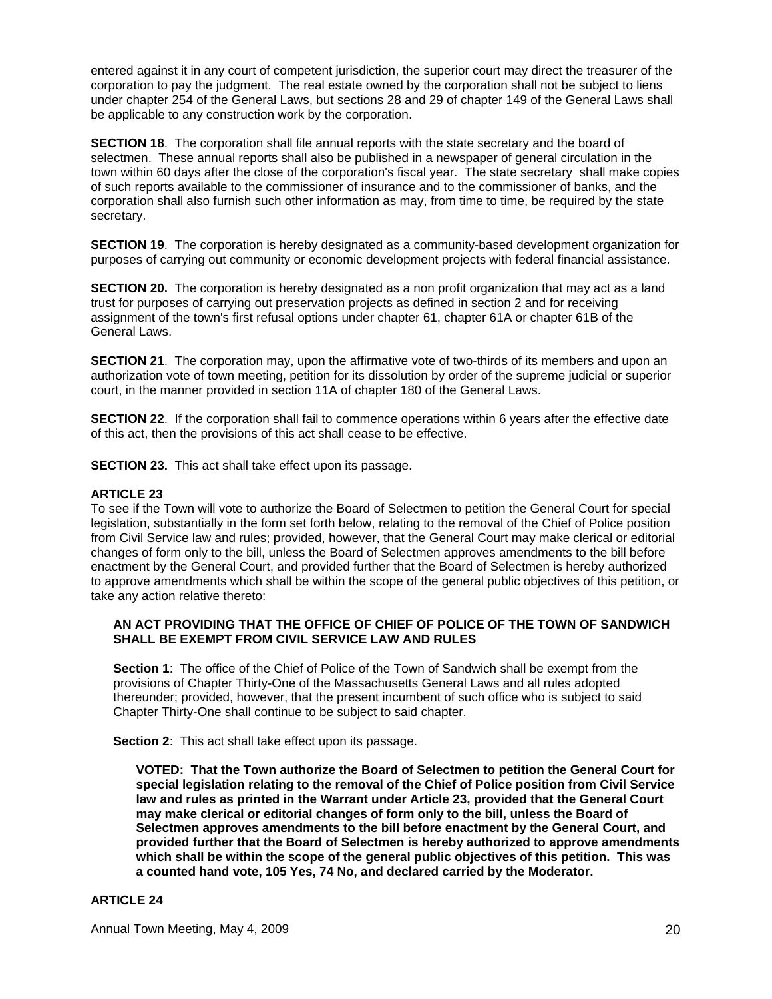entered against it in any court of competent jurisdiction, the superior court may direct the treasurer of the corporation to pay the judgment. The real estate owned by the corporation shall not be subject to liens under chapter 254 of the General Laws, but sections 28 and 29 of chapter 149 of the General Laws shall be applicable to any construction work by the corporation.

**SECTION 18.** The corporation shall file annual reports with the state secretary and the board of selectmen. These annual reports shall also be published in a newspaper of general circulation in the town within 60 days after the close of the corporation's fiscal year. The state secretary shall make copies of such reports available to the commissioner of insurance and to the commissioner of banks, and the corporation shall also furnish such other information as may, from time to time, be required by the state secretary.

**SECTION 19**. The corporation is hereby designated as a community-based development organization for purposes of carrying out community or economic development projects with federal financial assistance.

**SECTION 20.** The corporation is hereby designated as a non profit organization that may act as a land trust for purposes of carrying out preservation projects as defined in section 2 and for receiving assignment of the town's first refusal options under chapter 61, chapter 61A or chapter 61B of the General Laws.

**SECTION 21**. The corporation may, upon the affirmative vote of two-thirds of its members and upon an authorization vote of town meeting, petition for its dissolution by order of the supreme judicial or superior court, in the manner provided in section 11A of chapter 180 of the General Laws.

**SECTION 22.** If the corporation shall fail to commence operations within 6 years after the effective date of this act, then the provisions of this act shall cease to be effective.

**SECTION 23.** This act shall take effect upon its passage.

## **ARTICLE 23**

To see if the Town will vote to authorize the Board of Selectmen to petition the General Court for special legislation, substantially in the form set forth below, relating to the removal of the Chief of Police position from Civil Service law and rules; provided, however, that the General Court may make clerical or editorial changes of form only to the bill, unless the Board of Selectmen approves amendments to the bill before enactment by the General Court, and provided further that the Board of Selectmen is hereby authorized to approve amendments which shall be within the scope of the general public objectives of this petition, or take any action relative thereto:

## **AN ACT PROVIDING THAT THE OFFICE OF CHIEF OF POLICE OF THE TOWN OF SANDWICH SHALL BE EXEMPT FROM CIVIL SERVICE LAW AND RULES**

**Section 1**: The office of the Chief of Police of the Town of Sandwich shall be exempt from the provisions of Chapter Thirty-One of the Massachusetts General Laws and all rules adopted thereunder; provided, however, that the present incumbent of such office who is subject to said Chapter Thirty-One shall continue to be subject to said chapter.

**Section 2:** This act shall take effect upon its passage.

**VOTED: That the Town authorize the Board of Selectmen to petition the General Court for special legislation relating to the removal of the Chief of Police position from Civil Service law and rules as printed in the Warrant under Article 23, provided that the General Court may make clerical or editorial changes of form only to the bill, unless the Board of Selectmen approves amendments to the bill before enactment by the General Court, and provided further that the Board of Selectmen is hereby authorized to approve amendments which shall be within the scope of the general public objectives of this petition. This was a counted hand vote, 105 Yes, 74 No, and declared carried by the Moderator.** 

### **ARTICLE 24**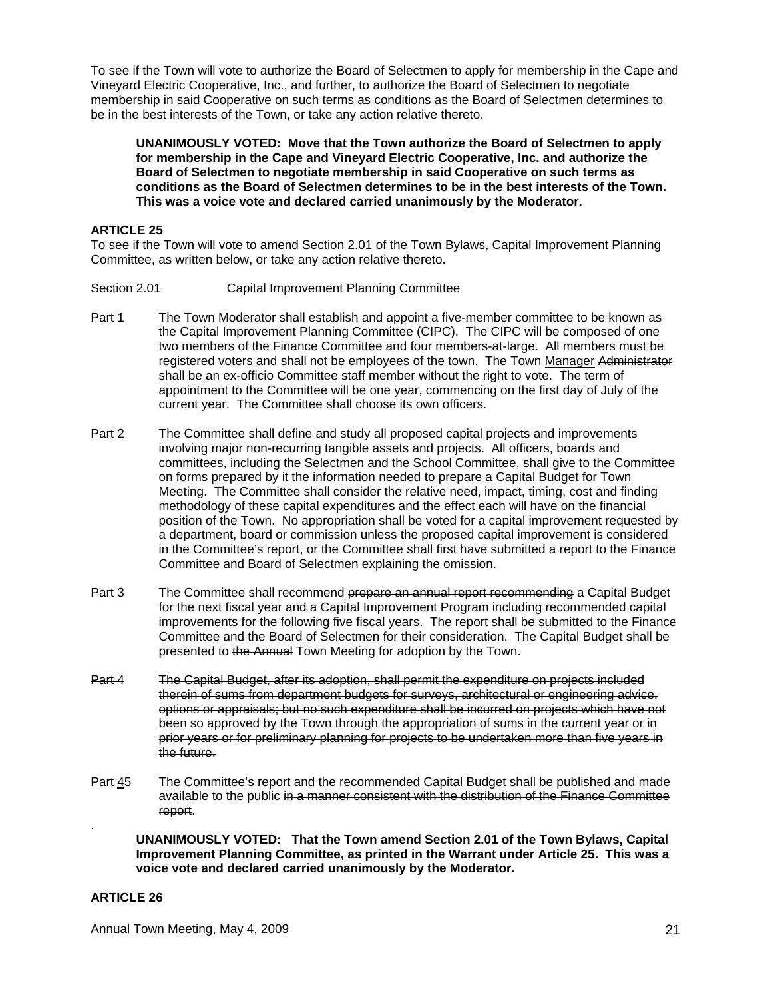To see if the Town will vote to authorize the Board of Selectmen to apply for membership in the Cape and Vineyard Electric Cooperative, Inc., and further, to authorize the Board of Selectmen to negotiate membership in said Cooperative on such terms as conditions as the Board of Selectmen determines to be in the best interests of the Town, or take any action relative thereto.

**UNANIMOUSLY VOTED: Move that the Town authorize the Board of Selectmen to apply for membership in the Cape and Vineyard Electric Cooperative, Inc. and authorize the Board of Selectmen to negotiate membership in said Cooperative on such terms as conditions as the Board of Selectmen determines to be in the best interests of the Town. This was a voice vote and declared carried unanimously by the Moderator.** 

## **ARTICLE 25**

To see if the Town will vote to amend Section 2.01 of the Town Bylaws, Capital Improvement Planning Committee, as written below, or take any action relative thereto.

- Section 2.01 Capital Improvement Planning Committee
- Part 1 The Town Moderator shall establish and appoint a five-member committee to be known as the Capital Improvement Planning Committee (CIPC). The CIPC will be composed of one two members of the Finance Committee and four members-at-large. All members must be registered voters and shall not be employees of the town. The Town Manager Administrator shall be an ex-officio Committee staff member without the right to vote. The term of appointment to the Committee will be one year, commencing on the first day of July of the current year. The Committee shall choose its own officers.
- Part 2 The Committee shall define and study all proposed capital projects and improvements involving major non-recurring tangible assets and projects. All officers, boards and committees, including the Selectmen and the School Committee, shall give to the Committee on forms prepared by it the information needed to prepare a Capital Budget for Town Meeting. The Committee shall consider the relative need, impact, timing, cost and finding methodology of these capital expenditures and the effect each will have on the financial position of the Town. No appropriation shall be voted for a capital improvement requested by a department, board or commission unless the proposed capital improvement is considered in the Committee's report, or the Committee shall first have submitted a report to the Finance Committee and Board of Selectmen explaining the omission.
- Part 3 The Committee shall recommend prepare an annual report recommending a Capital Budget for the next fiscal year and a Capital Improvement Program including recommended capital improvements for the following five fiscal years. The report shall be submitted to the Finance Committee and the Board of Selectmen for their consideration. The Capital Budget shall be presented to the Annual Town Meeting for adoption by the Town.
- Part 4 The Capital Budget, after its adoption, shall permit the expenditure on projects included therein of sums from department budgets for surveys, architectural or engineering advice, options or appraisals; but no such expenditure shall be incurred on projects which have not been so approved by the Town through the appropriation of sums in the current year or in prior years or for preliminary planning for projects to be undertaken more than five years in the future.
- Part 45 The Committee's report and the recommended Capital Budget shall be published and made available to the public in a manner consistent with the distribution of the Finance Committee report.

**UNANIMOUSLY VOTED: That the Town amend Section 2.01 of the Town Bylaws, Capital Improvement Planning Committee, as printed in the Warrant under Article 25. This was a voice vote and declared carried unanimously by the Moderator.** 

## **ARTICLE 26**

.

Annual Town Meeting, May 4, 2009 21 22 2009 2012 21: 2012 21: 2013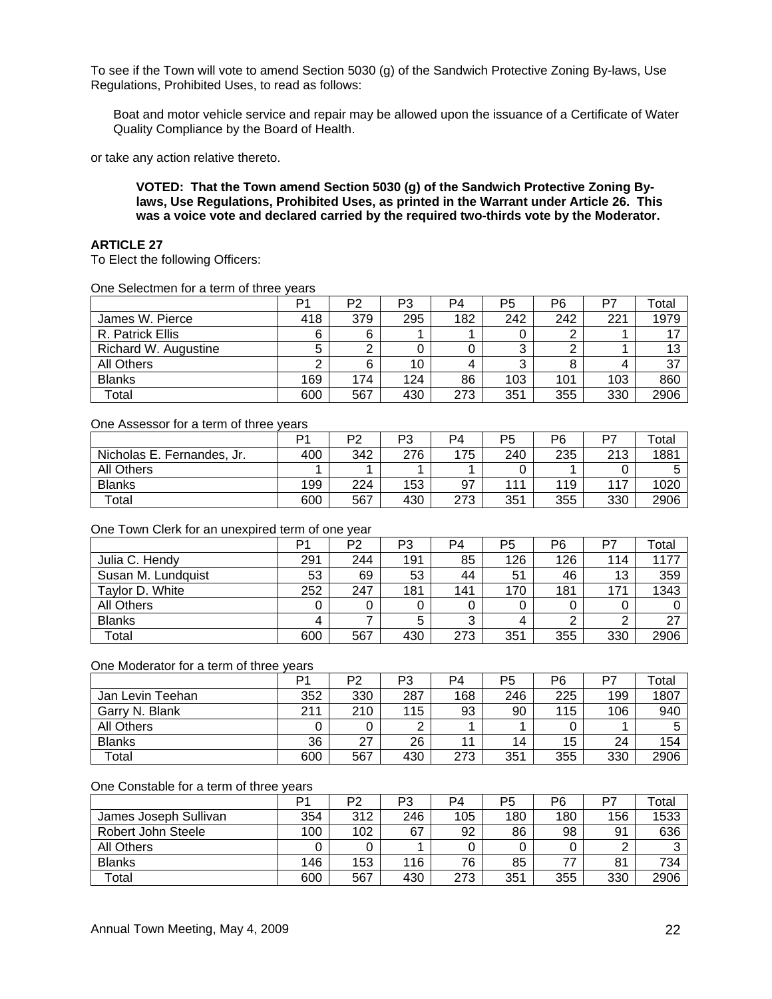To see if the Town will vote to amend Section 5030 (g) of the Sandwich Protective Zoning By-laws, Use Regulations, Prohibited Uses, to read as follows:

Boat and motor vehicle service and repair may be allowed upon the issuance of a Certificate of Water Quality Compliance by the Board of Health.

or take any action relative thereto.

**VOTED: That the Town amend Section 5030 (g) of the Sandwich Protective Zoning Bylaws, Use Regulations, Prohibited Uses, as printed in the Warrant under Article 26. This was a voice vote and declared carried by the required two-thirds vote by the Moderator.** 

## **ARTICLE 27**

To Elect the following Officers:

| One Selectmen for a term of three years |  |  |  |
|-----------------------------------------|--|--|--|
|-----------------------------------------|--|--|--|

|                      | Þ۰  | P <sub>2</sub> | P3  | P4  | P5  | P6  | P7  | Total |
|----------------------|-----|----------------|-----|-----|-----|-----|-----|-------|
| James W. Pierce      | 418 | 379            | 295 | 182 | 242 | 242 | 221 | 1979  |
| R. Patrick Ellis     | 6   | 6              |     |     |     | ◠   |     |       |
| Richard W. Augustine | 5   |                |     |     | っ   | ◠   |     | 13    |
| All Others           | ◠   | 6              | 10  |     | ◠   | 8   |     | 37    |
| <b>Blanks</b>        | 169 | 174            | 124 | 86  | 103 | 101 | 103 | 860   |
| Total                | 600 | 567            | 430 | 273 | 351 | 355 | 330 | 2906  |

#### One Assessor for a term of three years

|                            | Þ٠  | DQ  | מם<br>ັບ | P4  | P5  | P6  | DT. | ™otal |
|----------------------------|-----|-----|----------|-----|-----|-----|-----|-------|
| Nicholas E. Fernandes, Jr. | 400 | 342 | 276      | 175 | 240 | 235 | 213 | 1881  |
| <b>All Others</b>          |     |     |          |     |     |     |     |       |
| <b>Blanks</b>              | 199 | 224 | 153      | 97  | 111 | 119 | 117 | 1020  |
| Total                      | 600 | 567 | 430      | 273 | 351 | 355 | 330 | 2906  |

#### One Town Clerk for an unexpired term of one year

|                    | P٠  | P <sub>2</sub> | P3  | P <sub>4</sub> | P <sub>5</sub> | P <sub>6</sub> | P7  | Гоtal |
|--------------------|-----|----------------|-----|----------------|----------------|----------------|-----|-------|
| Julia C. Hendy     | 291 | 244            | 191 | 85             | 126            | 126            | 114 | 1177  |
| Susan M. Lundquist | 53  | 69             | 53  | 44             | 51             | 46             | 13  | 359   |
| Taylor D. White    | 252 | 247            | 181 | 141            | 170            | 181            | 171 | 1343  |
| All Others         |     |                |     |                |                | 0              |     |       |
| <b>Blanks</b>      | 4   |                | 5   | ົ<br>C         | 4              | ◠              |     | 27    |
| Total              | 600 | 567            | 430 | 273            | 351            | 355            | 330 | 2906  |

#### One Moderator for a term of three years

|                   | P <sub>1</sub> | P2  | P3  | P <sub>4</sub> | P5  | P6  | D7  | $\tau$ <sub>otal</sub> |
|-------------------|----------------|-----|-----|----------------|-----|-----|-----|------------------------|
| Jan Levin Teehan  | 352            | 330 | 287 | 168            | 246 | 225 | 199 | 1807                   |
| Garry N. Blank    | 211            | 210 | 115 | 93             | 90  | 115 | 106 | 940                    |
| <b>All Others</b> |                |     | ⌒   |                |     |     |     |                        |
| <b>Blanks</b>     | 36             | 27  | 26  |                | 14  | 15  | 24  | 154                    |
| Total             | 600            | 567 | 430 | 273            | 351 | 355 | 330 | 2906                   |

#### One Constable for a term of three years

|                       | D٠  | פס  | P3  | P4  | P <sub>5</sub> | P6  | D7  | $\tau$ <sub>otal</sub> |
|-----------------------|-----|-----|-----|-----|----------------|-----|-----|------------------------|
| James Joseph Sullivan | 354 | 312 | 246 | 105 | 180            | 180 | 156 | 1533                   |
| Robert John Steele    | 100 | 102 | 67  | 92  | 86             | 98  | 91  | 636                    |
| All Others            |     |     |     |     |                |     |     | ົ                      |
| <b>Blanks</b>         | 146 | 153 | 116 | 76  | 85             | 77  | 81  | 734                    |
| Total                 | 600 | 567 | 430 | 273 | 351            | 355 | 330 | 2906                   |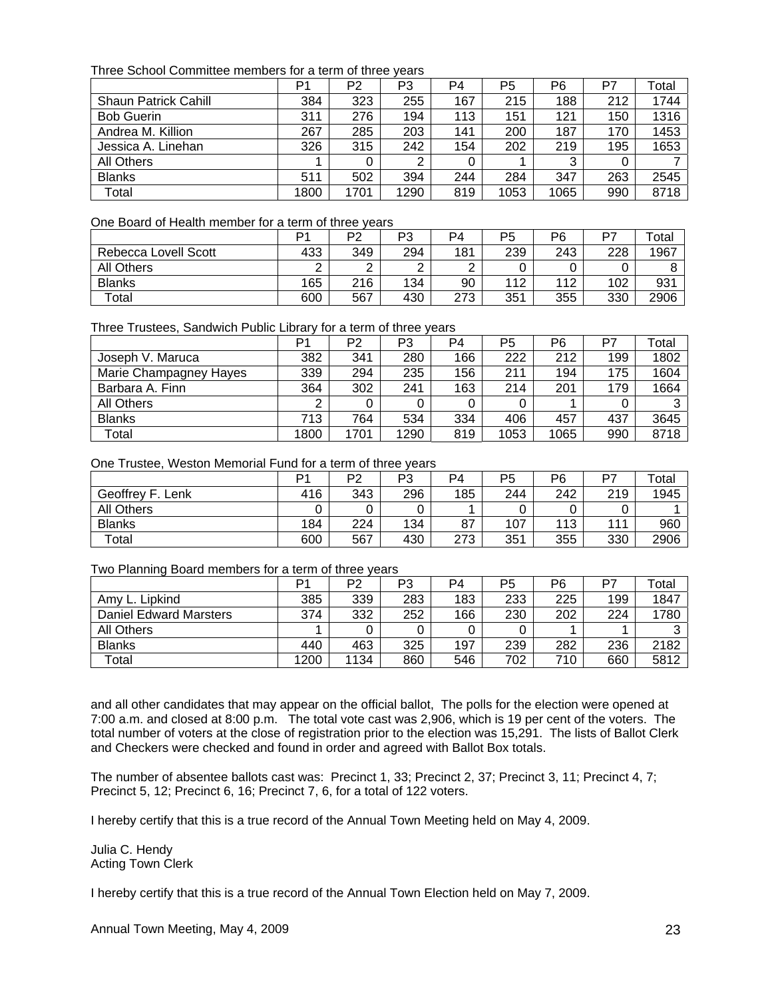Three School Committee members for a term of three years

|                             | P1   | P2   | P3   | P <sub>4</sub> | P5   | P <sub>6</sub> | P7  | Total |
|-----------------------------|------|------|------|----------------|------|----------------|-----|-------|
| <b>Shaun Patrick Cahill</b> | 384  | 323  | 255  | 167            | 215  | 188            | 212 | 1744  |
| <b>Bob Guerin</b>           | 311  | 276  | 194  | 113            | 151  | 121            | 150 | 1316  |
| Andrea M. Killion           | 267  | 285  | 203  | 141            | 200  | 187            | 170 | 1453  |
| Jessica A. Linehan          | 326  | 315  | 242  | 154            | 202  | 219            | 195 | 1653  |
| All Others                  |      |      | ⌒    |                |      | 3              |     |       |
| <b>Blanks</b>               | 511  | 502  | 394  | 244            | 284  | 347            | 263 | 2545  |
| Total                       | 1800 | 1701 | 1290 | 819            | 1053 | 1065           | 990 | 8718  |

#### One Board of Health member for a term of three years

|                      | D.  | ∩ים | P٦<br>ົບ | P4  | P5  | P6  | כס  | <sup>-</sup> otal |
|----------------------|-----|-----|----------|-----|-----|-----|-----|-------------------|
| Rebecca Lovell Scott | 433 | 349 | 294      | 181 | 239 | 243 | 228 | 1967              |
| <b>All Others</b>    |     | ⌒   |          |     |     |     |     |                   |
| <b>Blanks</b>        | 165 | 216 | 134      | 90  | 112 | 112 | 102 | 931               |
| Total                | 600 | 567 | 430      | 273 | 351 | 355 | 330 | 2906              |

Three Trustees, Sandwich Public Library for a term of three years

|                        | P <sub>1</sub> | P <sub>2</sub> | P3   | P <sub>4</sub> | P <sub>5</sub> | P6   | P7  | Total |
|------------------------|----------------|----------------|------|----------------|----------------|------|-----|-------|
| Joseph V. Maruca       | 382            | 341            | 280  | 166            | 222            | 212  | 199 | 1802  |
| Marie Champagney Hayes | 339            | 294            | 235  | 156            | 211            | 194  | 175 | 1604  |
| Barbara A. Finn        | 364            | 302            | 241  | 163            | 214            | 201  | 179 | 1664  |
| All Others             | ◠              |                |      |                |                |      |     |       |
| <b>Blanks</b>          | 713            | 764            | 534  | 334            | 406            | 457  | 437 | 3645  |
| Total                  | 1800           | 1701           | 1290 | 819            | 1053           | 1065 | 990 | 8718  |

#### One Trustee, Weston Memorial Fund for a term of three years

|                   | D٠  | פם  | מם       | P4  | P5  | P6  | כם  | $\tau$ otal |
|-------------------|-----|-----|----------|-----|-----|-----|-----|-------------|
| F                 |     | 343 | ు<br>296 |     |     |     | 219 | 1945        |
| Geoffrey<br>Lenk  | 416 |     |          | 185 | 244 | 242 |     |             |
| <b>All Others</b> |     |     |          |     |     |     |     |             |
| <b>Blanks</b>     | 184 | 224 | 134      | 87  | 107 | 113 | 111 | 960         |
| Total             | 600 | 567 | 430      | 273 | 351 | 355 | 330 | 2906        |

Two Planning Board members for a term of three years

| $\tilde{\phantom{a}}$  | Þ٠   | P <sub>2</sub> | P3  | P4  | P <sub>5</sub> | P6  |     | ⊺otal |
|------------------------|------|----------------|-----|-----|----------------|-----|-----|-------|
| Amy L. Lipkind         | 385  | 339            | 283 | 183 | 233            | 225 | 199 | 1847  |
| Daniel Edward Marsters | 374  | 332            | 252 | 166 | 230            | 202 | 224 | 1780  |
| All Others             |      |                |     |     |                |     |     | ⌒     |
| <b>Blanks</b>          | 440  | 463            | 325 | 197 | 239            | 282 | 236 | 2182  |
| Total                  | 1200 | 1134           | 860 | 546 | 702            | 710 | 660 | 5812  |

and all other candidates that may appear on the official ballot, The polls for the election were opened at 7:00 a.m. and closed at 8:00 p.m. The total vote cast was 2,906, which is 19 per cent of the voters. The total number of voters at the close of registration prior to the election was 15,291. The lists of Ballot Clerk and Checkers were checked and found in order and agreed with Ballot Box totals.

The number of absentee ballots cast was: Precinct 1, 33; Precinct 2, 37; Precinct 3, 11; Precinct 4, 7; Precinct 5, 12; Precinct 6, 16; Precinct 7, 6, for a total of 122 voters.

I hereby certify that this is a true record of the Annual Town Meeting held on May 4, 2009.

Julia C. Hendy Acting Town Clerk

I hereby certify that this is a true record of the Annual Town Election held on May 7, 2009.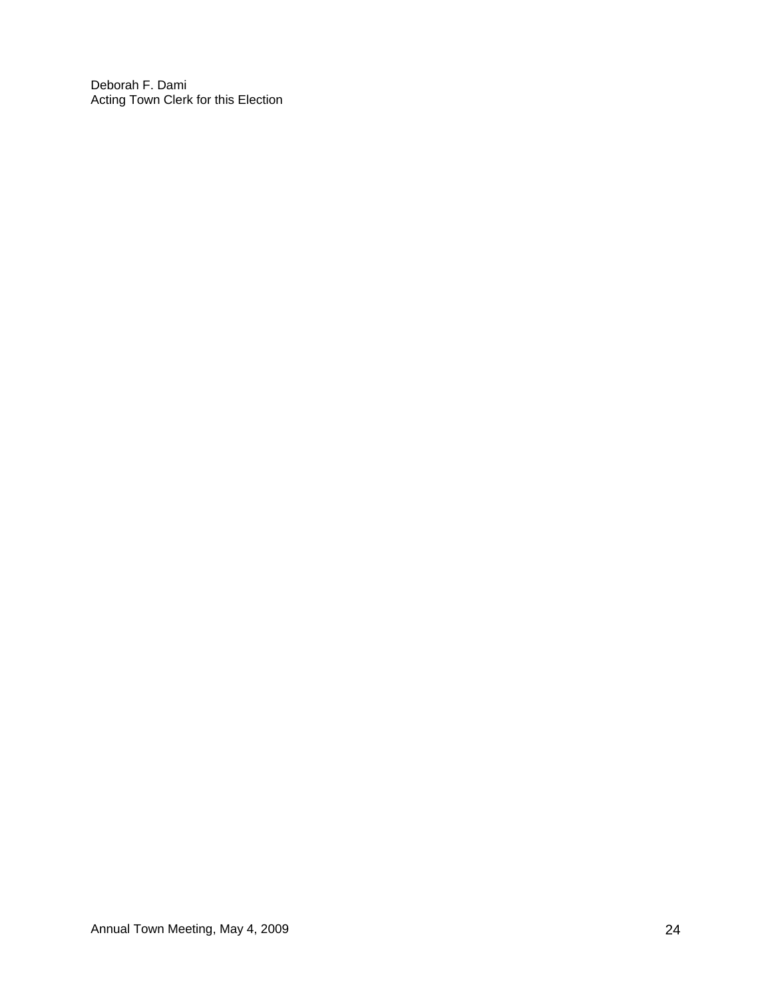Deborah F. Dami Acting Town Clerk for this Election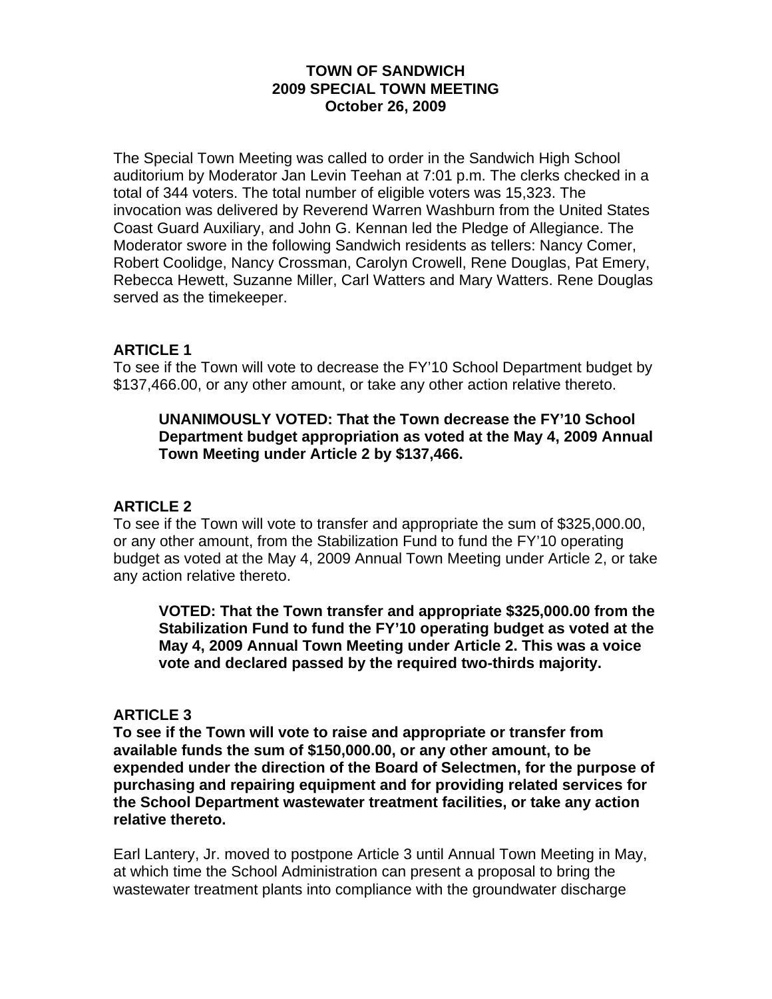## **TOWN OF SANDWICH 2009 SPECIAL TOWN MEETING October 26, 2009**

The Special Town Meeting was called to order in the Sandwich High School auditorium by Moderator Jan Levin Teehan at 7:01 p.m. The clerks checked in a total of 344 voters. The total number of eligible voters was 15,323. The invocation was delivered by Reverend Warren Washburn from the United States Coast Guard Auxiliary, and John G. Kennan led the Pledge of Allegiance. The Moderator swore in the following Sandwich residents as tellers: Nancy Comer, Robert Coolidge, Nancy Crossman, Carolyn Crowell, Rene Douglas, Pat Emery, Rebecca Hewett, Suzanne Miller, Carl Watters and Mary Watters. Rene Douglas served as the timekeeper.

# **ARTICLE 1**

To see if the Town will vote to decrease the FY'10 School Department budget by \$137,466.00, or any other amount, or take any other action relative thereto.

## **UNANIMOUSLY VOTED: That the Town decrease the FY'10 School Department budget appropriation as voted at the May 4, 2009 Annual Town Meeting under Article 2 by \$137,466.**

# **ARTICLE 2**

To see if the Town will vote to transfer and appropriate the sum of \$325,000.00, or any other amount, from the Stabilization Fund to fund the FY'10 operating budget as voted at the May 4, 2009 Annual Town Meeting under Article 2, or take any action relative thereto.

**VOTED: That the Town transfer and appropriate \$325,000.00 from the Stabilization Fund to fund the FY'10 operating budget as voted at the May 4, 2009 Annual Town Meeting under Article 2. This was a voice vote and declared passed by the required two-thirds majority.** 

## **ARTICLE 3**

**To see if the Town will vote to raise and appropriate or transfer from available funds the sum of \$150,000.00, or any other amount, to be expended under the direction of the Board of Selectmen, for the purpose of purchasing and repairing equipment and for providing related services for the School Department wastewater treatment facilities, or take any action relative thereto.** 

Earl Lantery, Jr. moved to postpone Article 3 until Annual Town Meeting in May, at which time the School Administration can present a proposal to bring the wastewater treatment plants into compliance with the groundwater discharge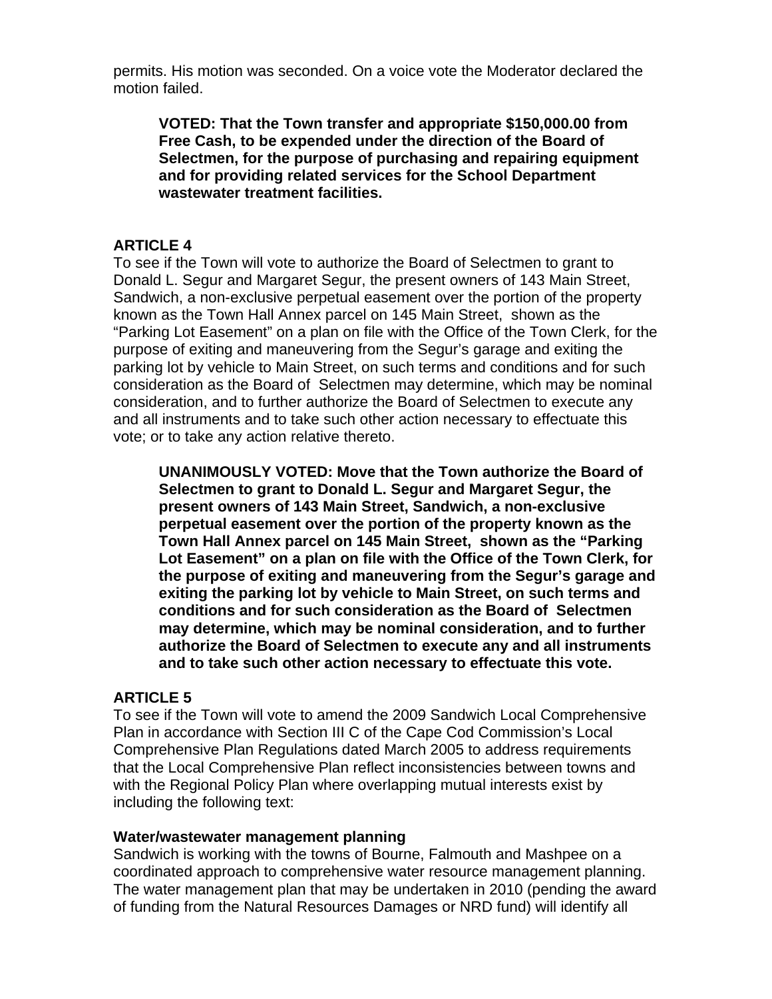permits. His motion was seconded. On a voice vote the Moderator declared the motion failed.

**VOTED: That the Town transfer and appropriate \$150,000.00 from Free Cash, to be expended under the direction of the Board of Selectmen, for the purpose of purchasing and repairing equipment and for providing related services for the School Department wastewater treatment facilities.** 

# **ARTICLE 4**

To see if the Town will vote to authorize the Board of Selectmen to grant to Donald L. Segur and Margaret Segur, the present owners of 143 Main Street, Sandwich, a non-exclusive perpetual easement over the portion of the property known as the Town Hall Annex parcel on 145 Main Street, shown as the "Parking Lot Easement" on a plan on file with the Office of the Town Clerk, for the purpose of exiting and maneuvering from the Segur's garage and exiting the parking lot by vehicle to Main Street, on such terms and conditions and for such consideration as the Board of Selectmen may determine, which may be nominal consideration, and to further authorize the Board of Selectmen to execute any and all instruments and to take such other action necessary to effectuate this vote; or to take any action relative thereto.

**UNANIMOUSLY VOTED: Move that the Town authorize the Board of Selectmen to grant to Donald L. Segur and Margaret Segur, the present owners of 143 Main Street, Sandwich, a non-exclusive perpetual easement over the portion of the property known as the Town Hall Annex parcel on 145 Main Street, shown as the "Parking Lot Easement" on a plan on file with the Office of the Town Clerk, for the purpose of exiting and maneuvering from the Segur's garage and exiting the parking lot by vehicle to Main Street, on such terms and conditions and for such consideration as the Board of Selectmen may determine, which may be nominal consideration, and to further authorize the Board of Selectmen to execute any and all instruments and to take such other action necessary to effectuate this vote.** 

# **ARTICLE 5**

To see if the Town will vote to amend the 2009 Sandwich Local Comprehensive Plan in accordance with Section III C of the Cape Cod Commission's Local Comprehensive Plan Regulations dated March 2005 to address requirements that the Local Comprehensive Plan reflect inconsistencies between towns and with the Regional Policy Plan where overlapping mutual interests exist by including the following text:

## **Water/wastewater management planning**

Sandwich is working with the towns of Bourne, Falmouth and Mashpee on a coordinated approach to comprehensive water resource management planning. The water management plan that may be undertaken in 2010 (pending the award of funding from the Natural Resources Damages or NRD fund) will identify all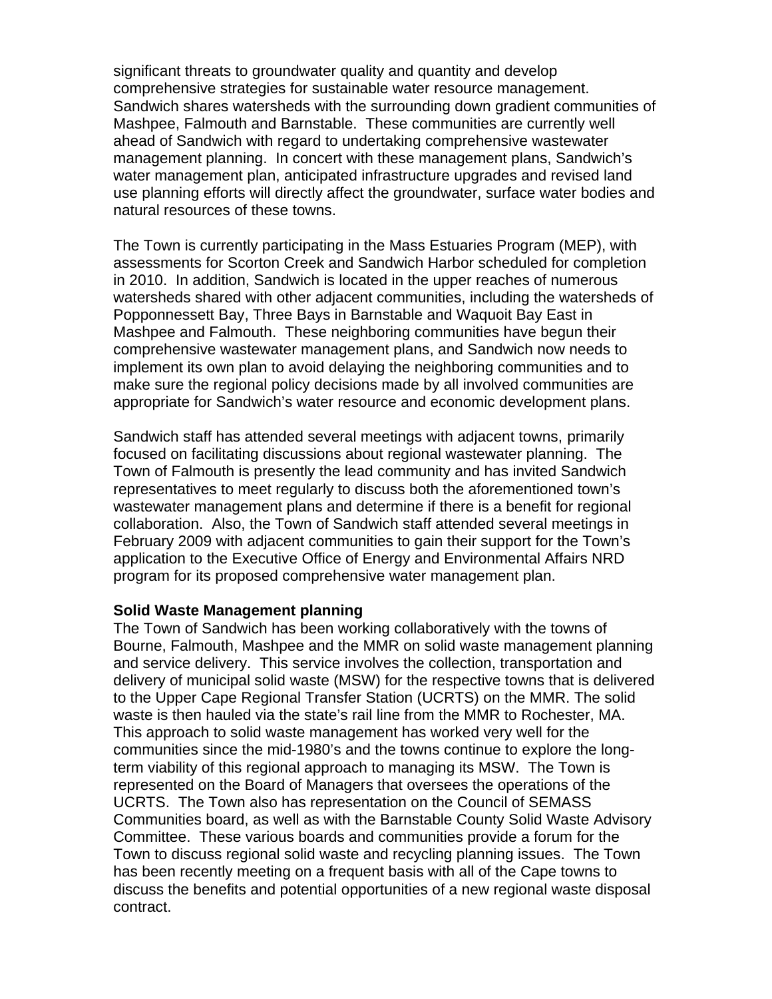significant threats to groundwater quality and quantity and develop comprehensive strategies for sustainable water resource management. Sandwich shares watersheds with the surrounding down gradient communities of Mashpee, Falmouth and Barnstable. These communities are currently well ahead of Sandwich with regard to undertaking comprehensive wastewater management planning. In concert with these management plans, Sandwich's water management plan, anticipated infrastructure upgrades and revised land use planning efforts will directly affect the groundwater, surface water bodies and natural resources of these towns.

The Town is currently participating in the Mass Estuaries Program (MEP), with assessments for Scorton Creek and Sandwich Harbor scheduled for completion in 2010. In addition, Sandwich is located in the upper reaches of numerous watersheds shared with other adjacent communities, including the watersheds of Popponnessett Bay, Three Bays in Barnstable and Waquoit Bay East in Mashpee and Falmouth. These neighboring communities have begun their comprehensive wastewater management plans, and Sandwich now needs to implement its own plan to avoid delaying the neighboring communities and to make sure the regional policy decisions made by all involved communities are appropriate for Sandwich's water resource and economic development plans.

Sandwich staff has attended several meetings with adjacent towns, primarily focused on facilitating discussions about regional wastewater planning. The Town of Falmouth is presently the lead community and has invited Sandwich representatives to meet regularly to discuss both the aforementioned town's wastewater management plans and determine if there is a benefit for regional collaboration. Also, the Town of Sandwich staff attended several meetings in February 2009 with adjacent communities to gain their support for the Town's application to the Executive Office of Energy and Environmental Affairs NRD program for its proposed comprehensive water management plan.

## **Solid Waste Management planning**

The Town of Sandwich has been working collaboratively with the towns of Bourne, Falmouth, Mashpee and the MMR on solid waste management planning and service delivery. This service involves the collection, transportation and delivery of municipal solid waste (MSW) for the respective towns that is delivered to the Upper Cape Regional Transfer Station (UCRTS) on the MMR. The solid waste is then hauled via the state's rail line from the MMR to Rochester, MA. This approach to solid waste management has worked very well for the communities since the mid-1980's and the towns continue to explore the longterm viability of this regional approach to managing its MSW. The Town is represented on the Board of Managers that oversees the operations of the UCRTS. The Town also has representation on the Council of SEMASS Communities board, as well as with the Barnstable County Solid Waste Advisory Committee. These various boards and communities provide a forum for the Town to discuss regional solid waste and recycling planning issues. The Town has been recently meeting on a frequent basis with all of the Cape towns to discuss the benefits and potential opportunities of a new regional waste disposal contract.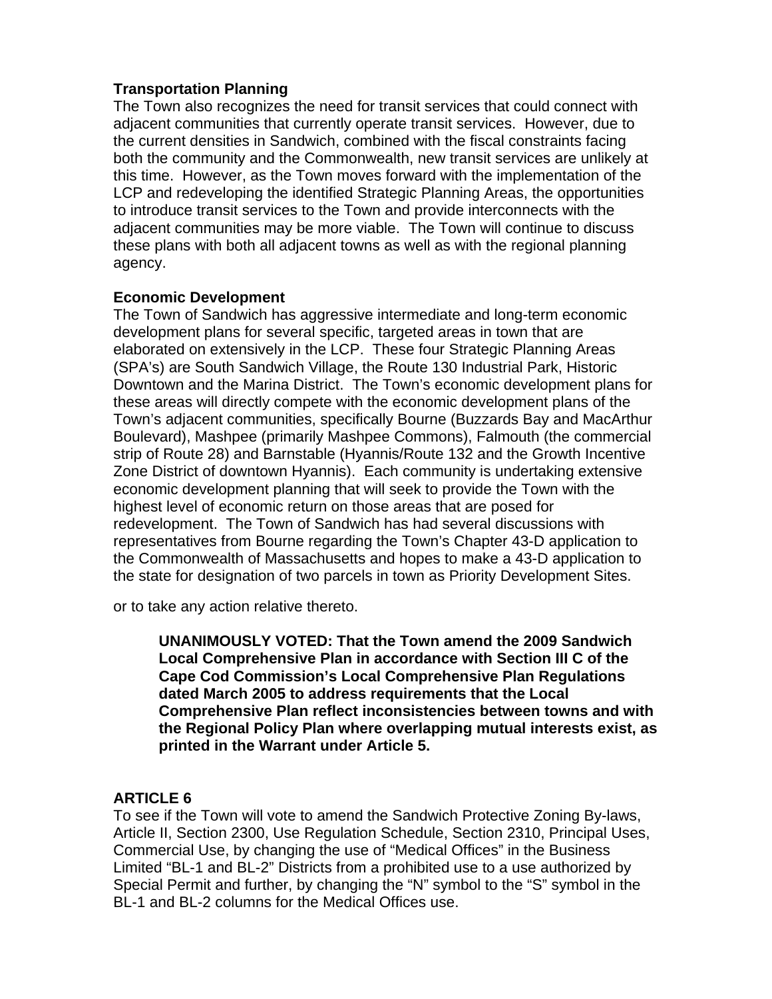## **Transportation Planning**

The Town also recognizes the need for transit services that could connect with adjacent communities that currently operate transit services. However, due to the current densities in Sandwich, combined with the fiscal constraints facing both the community and the Commonwealth, new transit services are unlikely at this time. However, as the Town moves forward with the implementation of the LCP and redeveloping the identified Strategic Planning Areas, the opportunities to introduce transit services to the Town and provide interconnects with the adjacent communities may be more viable. The Town will continue to discuss these plans with both all adjacent towns as well as with the regional planning agency.

## **Economic Development**

The Town of Sandwich has aggressive intermediate and long-term economic development plans for several specific, targeted areas in town that are elaborated on extensively in the LCP. These four Strategic Planning Areas (SPA's) are South Sandwich Village, the Route 130 Industrial Park, Historic Downtown and the Marina District. The Town's economic development plans for these areas will directly compete with the economic development plans of the Town's adjacent communities, specifically Bourne (Buzzards Bay and MacArthur Boulevard), Mashpee (primarily Mashpee Commons), Falmouth (the commercial strip of Route 28) and Barnstable (Hyannis/Route 132 and the Growth Incentive Zone District of downtown Hyannis). Each community is undertaking extensive economic development planning that will seek to provide the Town with the highest level of economic return on those areas that are posed for redevelopment. The Town of Sandwich has had several discussions with representatives from Bourne regarding the Town's Chapter 43-D application to the Commonwealth of Massachusetts and hopes to make a 43-D application to the state for designation of two parcels in town as Priority Development Sites.

or to take any action relative thereto.

**UNANIMOUSLY VOTED: That the Town amend the 2009 Sandwich Local Comprehensive Plan in accordance with Section III C of the Cape Cod Commission's Local Comprehensive Plan Regulations dated March 2005 to address requirements that the Local Comprehensive Plan reflect inconsistencies between towns and with the Regional Policy Plan where overlapping mutual interests exist, as printed in the Warrant under Article 5.** 

# **ARTICLE 6**

To see if the Town will vote to amend the Sandwich Protective Zoning By-laws, Article II, Section 2300, Use Regulation Schedule, Section 2310, Principal Uses, Commercial Use, by changing the use of "Medical Offices" in the Business Limited "BL-1 and BL-2" Districts from a prohibited use to a use authorized by Special Permit and further, by changing the "N" symbol to the "S" symbol in the BL-1 and BL-2 columns for the Medical Offices use.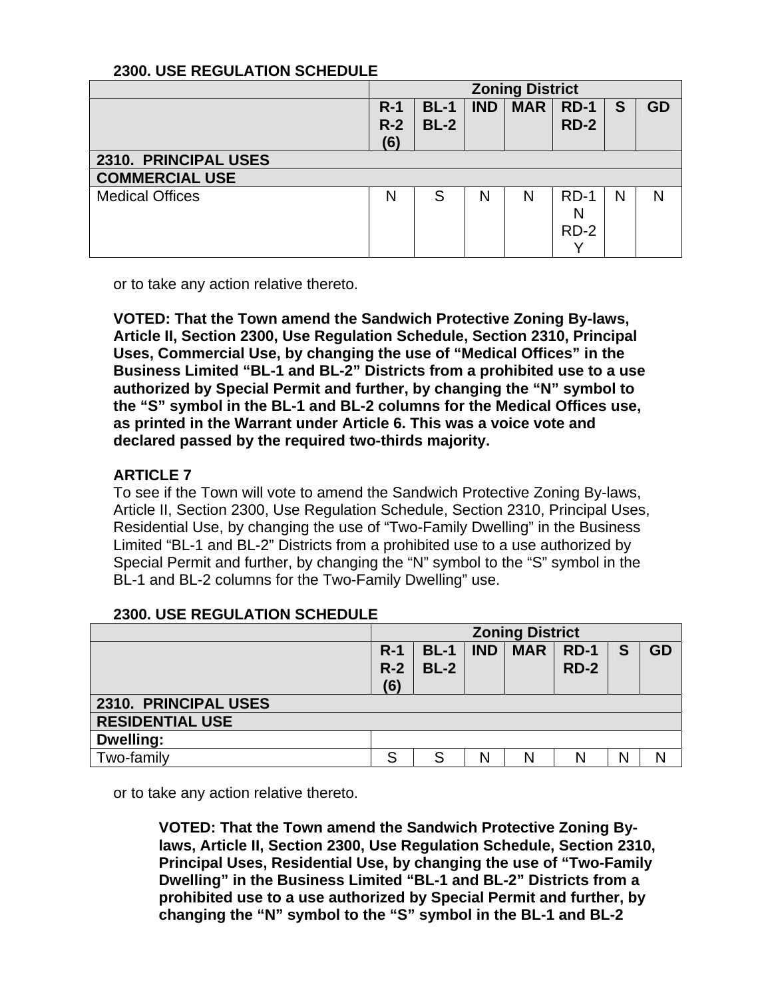## **2300. USE REGULATION SCHEDULE**

|                        | <b>Zoning District</b> |                  |            |            |                       |   |    |  |  |  |
|------------------------|------------------------|------------------|------------|------------|-----------------------|---|----|--|--|--|
|                        | $R-1$<br>$R-2$<br>(6)  | $BL-1$<br>$BL-2$ | <b>IND</b> | <b>MAR</b> | <b>RD-1</b><br>$RD-2$ | S | GD |  |  |  |
| 2310. PRINCIPAL USES   |                        |                  |            |            |                       |   |    |  |  |  |
| <b>COMMERCIAL USE</b>  |                        |                  |            |            |                       |   |    |  |  |  |
| <b>Medical Offices</b> | N                      | S                | N          | N          | $RD-1$<br>N<br>$RD-2$ | N | N  |  |  |  |

or to take any action relative thereto.

**VOTED: That the Town amend the Sandwich Protective Zoning By-laws, Article II, Section 2300, Use Regulation Schedule, Section 2310, Principal Uses, Commercial Use, by changing the use of "Medical Offices" in the Business Limited "BL-1 and BL-2" Districts from a prohibited use to a use authorized by Special Permit and further, by changing the "N" symbol to the "S" symbol in the BL-1 and BL-2 columns for the Medical Offices use, as printed in the Warrant under Article 6. This was a voice vote and declared passed by the required two-thirds majority.** 

# **ARTICLE 7**

To see if the Town will vote to amend the Sandwich Protective Zoning By-laws, Article II, Section 2300, Use Regulation Schedule, Section 2310, Principal Uses, Residential Use, by changing the use of "Two-Family Dwelling" in the Business Limited "BL-1 and BL-2" Districts from a prohibited use to a use authorized by Special Permit and further, by changing the "N" symbol to the "S" symbol in the BL-1 and BL-2 columns for the Two-Family Dwelling" use.

## **2300. USE REGULATION SCHEDULE**

|                        | <b>Zoning District</b> |                  |            |            |                  |   |    |  |  |  |
|------------------------|------------------------|------------------|------------|------------|------------------|---|----|--|--|--|
|                        | $R-1$<br>$R-2$<br>(6)  | $BL-1$<br>$BL-2$ | <b>IND</b> | <b>MAR</b> | $RD-1$<br>$RD-2$ | S | GD |  |  |  |
| 2310. PRINCIPAL USES   |                        |                  |            |            |                  |   |    |  |  |  |
| <b>RESIDENTIAL USE</b> |                        |                  |            |            |                  |   |    |  |  |  |
| Dwelling:              |                        |                  |            |            |                  |   |    |  |  |  |
| Two-family             | S                      | S                | N          | N          | N                |   |    |  |  |  |

or to take any action relative thereto.

**VOTED: That the Town amend the Sandwich Protective Zoning Bylaws, Article II, Section 2300, Use Regulation Schedule, Section 2310, Principal Uses, Residential Use, by changing the use of "Two-Family Dwelling" in the Business Limited "BL-1 and BL-2" Districts from a prohibited use to a use authorized by Special Permit and further, by changing the "N" symbol to the "S" symbol in the BL-1 and BL-2**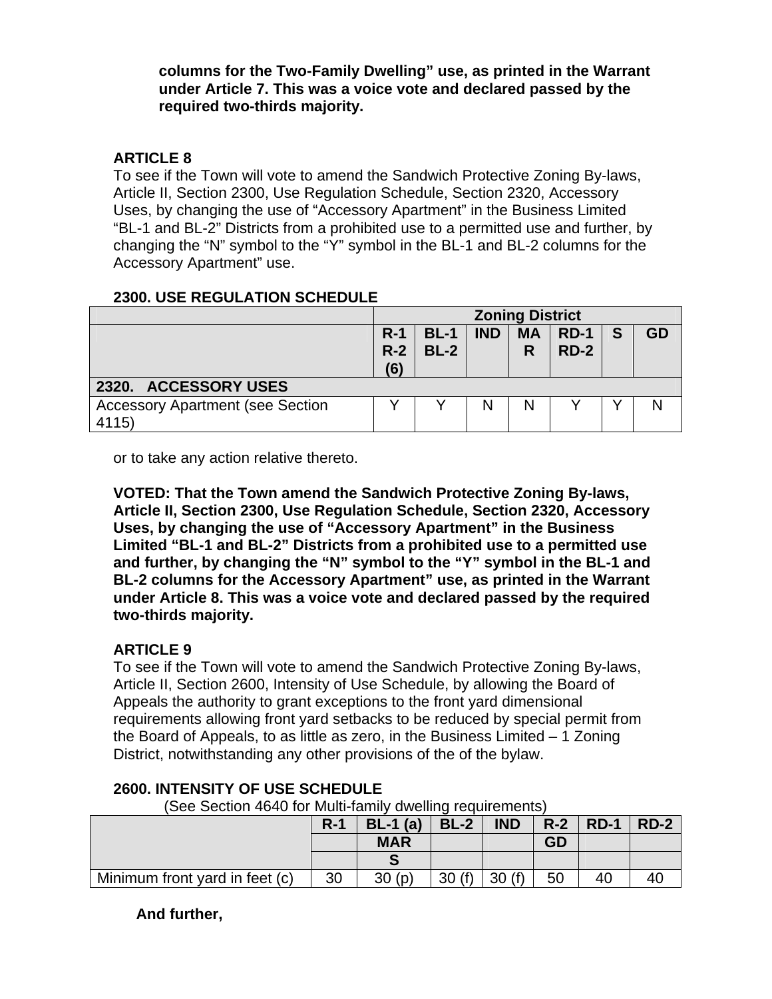## **columns for the Two-Family Dwelling" use, as printed in the Warrant under Article 7. This was a voice vote and declared passed by the required two-thirds majority.**

# **ARTICLE 8**

To see if the Town will vote to amend the Sandwich Protective Zoning By-laws, Article II, Section 2300, Use Regulation Schedule, Section 2320, Accessory Uses, by changing the use of "Accessory Apartment" in the Business Limited "BL-1 and BL-2" Districts from a prohibited use to a permitted use and further, by changing the "N" symbol to the "Y" symbol in the BL-1 and BL-2 columns for the Accessory Apartment" use.

## **2300. USE REGULATION SCHEDULE**

|                                                  | <b>Zoning District</b>                                                                       |  |   |   |  |  |  |  |  |
|--------------------------------------------------|----------------------------------------------------------------------------------------------|--|---|---|--|--|--|--|--|
|                                                  | <b>IND</b><br><b>MA</b><br>$RD-1$<br>$R-1$<br>$BL-1$<br>GD<br>S<br>$RD-2$<br>$BL-2$<br>$R-2$ |  |   |   |  |  |  |  |  |
|                                                  | (6)                                                                                          |  |   | R |  |  |  |  |  |
| 2320. ACCESSORY USES                             |                                                                                              |  |   |   |  |  |  |  |  |
| <b>Accessory Apartment (see Section</b><br>4115) |                                                                                              |  | N |   |  |  |  |  |  |

or to take any action relative thereto.

**VOTED: That the Town amend the Sandwich Protective Zoning By-laws, Article II, Section 2300, Use Regulation Schedule, Section 2320, Accessory Uses, by changing the use of "Accessory Apartment" in the Business Limited "BL-1 and BL-2" Districts from a prohibited use to a permitted use and further, by changing the "N" symbol to the "Y" symbol in the BL-1 and BL-2 columns for the Accessory Apartment" use, as printed in the Warrant under Article 8. This was a voice vote and declared passed by the required two-thirds majority.** 

# **ARTICLE 9**

To see if the Town will vote to amend the Sandwich Protective Zoning By-laws, Article II, Section 2600, Intensity of Use Schedule, by allowing the Board of Appeals the authority to grant exceptions to the front yard dimensional requirements allowing front yard setbacks to be reduced by special permit from the Board of Appeals, to as little as zero, in the Business Limited – 1 Zoning District, notwithstanding any other provisions of the of the bylaw.

| Oce Section 4040 for Multi-Rimity awelling requirements) |       |            |        |            |           |              |        |  |  |  |
|----------------------------------------------------------|-------|------------|--------|------------|-----------|--------------|--------|--|--|--|
|                                                          | $R-1$ | $BL-1$ (a) | $BL-2$ | <b>IND</b> |           | $R-2$   RD-1 | $RD-2$ |  |  |  |
|                                                          |       | <b>MAR</b> |        |            | <b>GD</b> |              |        |  |  |  |
|                                                          |       |            |        |            |           |              |        |  |  |  |
| Minimum front yard in feet (c)                           | 30    | 30(p)      | 30(f)  | 30(f)      | 50        | 40           | 40     |  |  |  |

# **2600. INTENSITY OF USE SCHEDULE**

 $\Omega$  Section 4640 for Multi-family dwelling requirements)

# **And further,**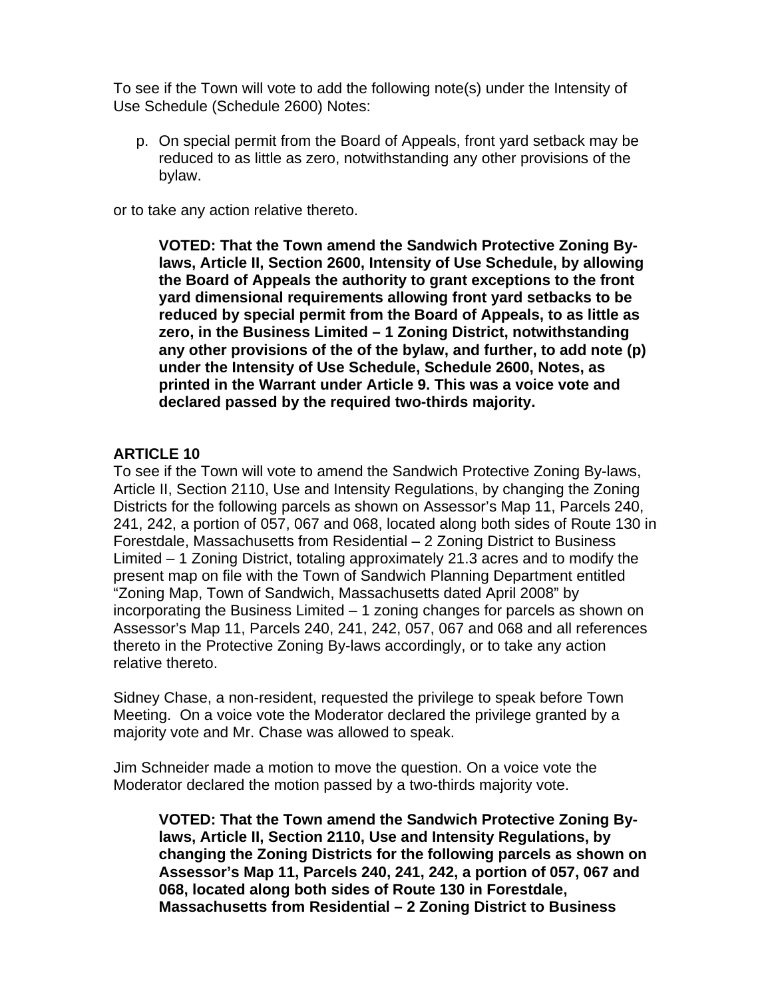To see if the Town will vote to add the following note(s) under the Intensity of Use Schedule (Schedule 2600) Notes:

p. On special permit from the Board of Appeals, front yard setback may be reduced to as little as zero, notwithstanding any other provisions of the bylaw.

or to take any action relative thereto.

**VOTED: That the Town amend the Sandwich Protective Zoning Bylaws, Article II, Section 2600, Intensity of Use Schedule, by allowing the Board of Appeals the authority to grant exceptions to the front yard dimensional requirements allowing front yard setbacks to be reduced by special permit from the Board of Appeals, to as little as zero, in the Business Limited – 1 Zoning District, notwithstanding any other provisions of the of the bylaw, and further, to add note (p) under the Intensity of Use Schedule, Schedule 2600, Notes, as printed in the Warrant under Article 9. This was a voice vote and declared passed by the required two-thirds majority.** 

## **ARTICLE 10**

To see if the Town will vote to amend the Sandwich Protective Zoning By-laws, Article II, Section 2110, Use and Intensity Regulations, by changing the Zoning Districts for the following parcels as shown on Assessor's Map 11, Parcels 240, 241, 242, a portion of 057, 067 and 068, located along both sides of Route 130 in Forestdale, Massachusetts from Residential – 2 Zoning District to Business Limited – 1 Zoning District, totaling approximately 21.3 acres and to modify the present map on file with the Town of Sandwich Planning Department entitled "Zoning Map, Town of Sandwich, Massachusetts dated April 2008" by incorporating the Business Limited – 1 zoning changes for parcels as shown on Assessor's Map 11, Parcels 240, 241, 242, 057, 067 and 068 and all references thereto in the Protective Zoning By-laws accordingly, or to take any action relative thereto.

Sidney Chase, a non-resident, requested the privilege to speak before Town Meeting. On a voice vote the Moderator declared the privilege granted by a majority vote and Mr. Chase was allowed to speak.

Jim Schneider made a motion to move the question. On a voice vote the Moderator declared the motion passed by a two-thirds majority vote.

**VOTED: That the Town amend the Sandwich Protective Zoning Bylaws, Article II, Section 2110, Use and Intensity Regulations, by changing the Zoning Districts for the following parcels as shown on Assessor's Map 11, Parcels 240, 241, 242, a portion of 057, 067 and 068, located along both sides of Route 130 in Forestdale, Massachusetts from Residential – 2 Zoning District to Business**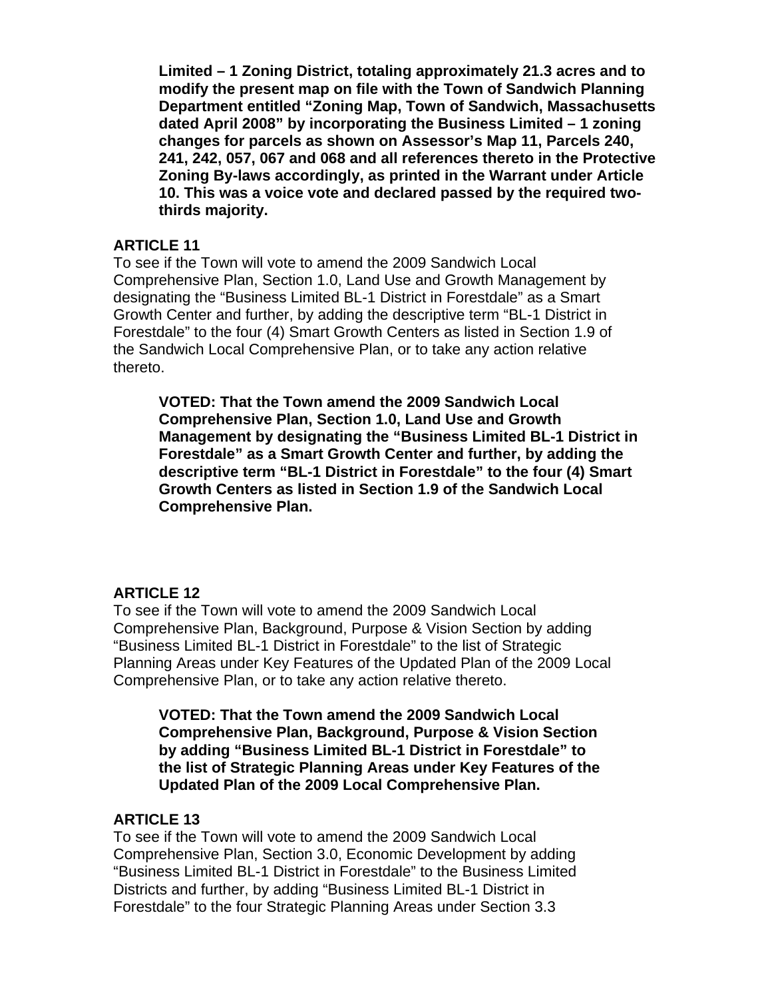**Limited – 1 Zoning District, totaling approximately 21.3 acres and to modify the present map on file with the Town of Sandwich Planning Department entitled "Zoning Map, Town of Sandwich, Massachusetts dated April 2008" by incorporating the Business Limited – 1 zoning changes for parcels as shown on Assessor's Map 11, Parcels 240, 241, 242, 057, 067 and 068 and all references thereto in the Protective Zoning By-laws accordingly, as printed in the Warrant under Article 10. This was a voice vote and declared passed by the required twothirds majority.** 

## **ARTICLE 11**

To see if the Town will vote to amend the 2009 Sandwich Local Comprehensive Plan, Section 1.0, Land Use and Growth Management by designating the "Business Limited BL-1 District in Forestdale" as a Smart Growth Center and further, by adding the descriptive term "BL-1 District in Forestdale" to the four (4) Smart Growth Centers as listed in Section 1.9 of the Sandwich Local Comprehensive Plan, or to take any action relative thereto.

**VOTED: That the Town amend the 2009 Sandwich Local Comprehensive Plan, Section 1.0, Land Use and Growth Management by designating the "Business Limited BL-1 District in Forestdale" as a Smart Growth Center and further, by adding the descriptive term "BL-1 District in Forestdale" to the four (4) Smart Growth Centers as listed in Section 1.9 of the Sandwich Local Comprehensive Plan.** 

# **ARTICLE 12**

To see if the Town will vote to amend the 2009 Sandwich Local Comprehensive Plan, Background, Purpose & Vision Section by adding "Business Limited BL-1 District in Forestdale" to the list of Strategic Planning Areas under Key Features of the Updated Plan of the 2009 Local Comprehensive Plan, or to take any action relative thereto.

**VOTED: That the Town amend the 2009 Sandwich Local Comprehensive Plan, Background, Purpose & Vision Section by adding "Business Limited BL-1 District in Forestdale" to the list of Strategic Planning Areas under Key Features of the Updated Plan of the 2009 Local Comprehensive Plan.** 

# **ARTICLE 13**

To see if the Town will vote to amend the 2009 Sandwich Local Comprehensive Plan, Section 3.0, Economic Development by adding "Business Limited BL-1 District in Forestdale" to the Business Limited Districts and further, by adding "Business Limited BL-1 District in Forestdale" to the four Strategic Planning Areas under Section 3.3